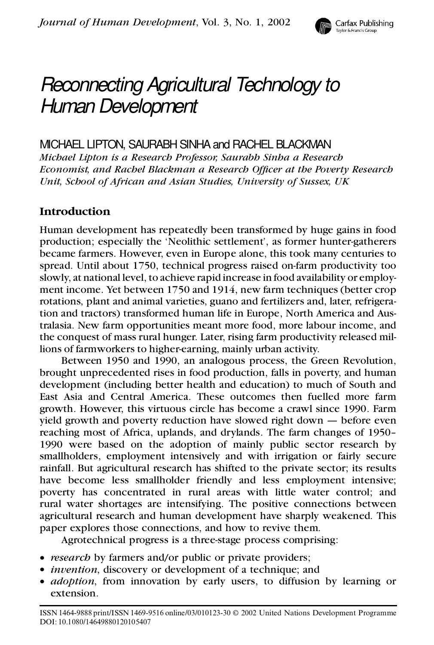

# *Reconnecting Agricultural Technology to Human Development*

# MICHAEL LIPTON, SAURABH SINHA and RACHEL BLACKMAN

*Michael Lipton is a Research Professor, Saurabh Sinha a Research Economist, and Rachel Blackman a Research Officer at the Poverty Research Unit, School of African and Asian Studies, University of Sussex, UK*

# **Introduction**

Human development has repeatedly been transformed by huge gains in food production; especially the 'Neolithic settlement', as former hunter-gatherers became farmers. However, even in Europe alone, this took many centuries to spread. Until about 1750, technical progress raised on-farm productivity too slowly, at national level, to achieve rapid increase in food availability or employ ment income. Yet between 1750 and 1914, new farm techniques (better crop rotations, plant and animal varieties, guano and fertilizers and, later, refrigeration and tractors) transformed human life in Europe, North America and Australasia. New farm opportunities meant more food, more labour income, and the conquest of mass rural hunger. Later, rising farm productivity released millions of farmworkers to higher-earning, mainly urban activity.

Between 1950 and 1990, an analogous process, the Green Revolution, brought unprecedented rises in food production, falls in poverty, and human development (including better health and education) to much of South and East Asia and Central America. These outcomes then fuelled more farm growth. However, this virtuous circle has become a crawl since 1990. Farm yield growth and poverty reduction have slowed right down — before even reaching most of Africa, uplands, and drylands. The farm changes of 1950– 1990 were based on the adoption of mainly public sector research by smallholders, employment intensively and with irrigation or fairly secure rainfall. But agricultural research has shifted to the private sector; its results have become less smallholder friendly and less employment intensive; poverty has concentrated in rural areas with little water control; and rural water shortages are intensifying. The positive connections between agricultural research and human development have sharply weakened. This paper explores those connections, and how to revive them.

Agrotechnical progress is a three-stage process comprising:

- *research* by farmers and/or public or private providers;
- · *invention*, discovery or development of a technique; and
- · *adoption*, from innovation by early users, to diffusion by learning or extension.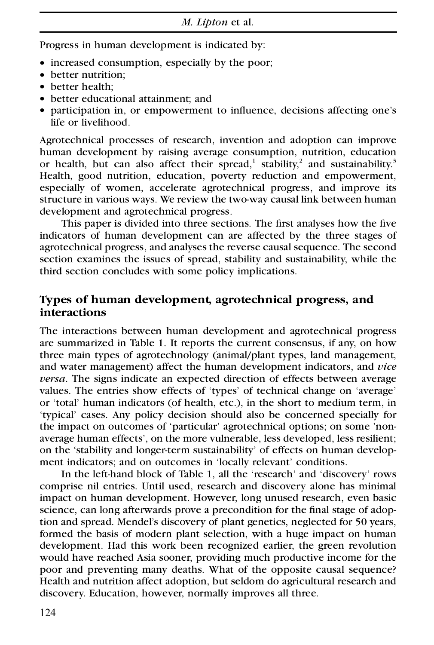Progress in human development is indicated by:

- increased consumption, especially by the poor;
- better nutrition:
- better health:
- · better educational attainment; and
- participation in, or empowerment to influence, decisions affecting one's life or livelihood.

Agrotechnical processes of research, invention and adoption can improve human development by raising average consumption, nutrition, education or health, but can also affect their spread,<sup>1</sup> stability,<sup>2</sup> and sustainability.<sup>3</sup> Health, good nutrition, education, poverty reduction and empowerment, especially of women, accelerate agrotechnical progress, and improve its structure in various ways. We review the two-way causal link between human development and agrotechnical progress.

This paper is divided into three sections. The first analyses how the five indicators of human development can are affected by the three stages of agrotechnical progress, and analyses the reverse causal sequence. The second section examines the issues of spread, stability and sustainability, while the third section concludes with some policy implications.

### **Types of human development, agrotechnical progress, and interactions**

The interactions between human development and agrotechnical progress are summarized in Table 1. It reports the current consensus, if any, on how three main types of agrotechnology (animal/plant types, land management, and water management) affect the human development indicators, and *vice versa*. The signs indicate an expected direction of effects between average values. The entries show effects of 'types' of technical change on 'average' or 'total' human indicators (of health, etc.), in the short to medium term, in 'typical' cases. Any policy decision should also be concerned specially for the impact on outcomes of 'particular' agrotechnical options; on some 'non average human effects', on the more vulnerable, less developed, less resilient; on the 'stability and longer-term sustainability' of effects on human develop ment indicators; and on outcomes in 'locally relevant' conditions.

In the left-hand block of Table 1, all the 'research' and 'discovery' rows comprise nil entries. Until used, research and discovery alone has minimal impact on human development. However, long unused research, even basic science, can long afterwards prove a precondition for the final stage of adoption and spread. Mendel's discovery of plant genetics, neglected for 50 years, formed the basis of modern plant selection, with a huge impact on human development. Had this work been recognized earlier, the green revolution would have reached Asia sooner, providing much productive income for the poor and preventing many deaths. What of the opposite causal sequence? Health and nutrition affect adoption, but seldom do agricultural research and discovery. Education, however, normally improves all three.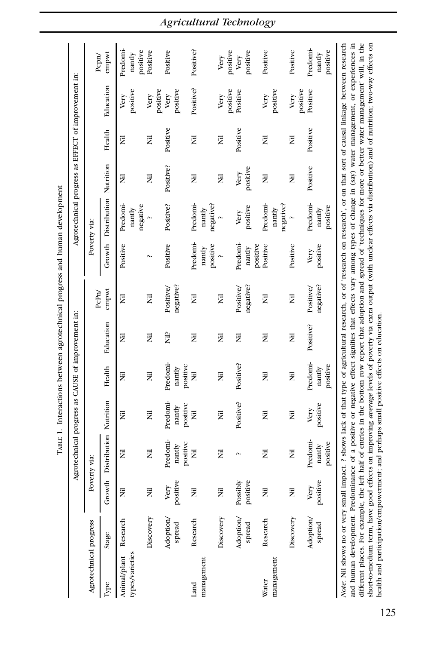|                                                                                                                                                                                                                                                                                                                                                                                                                                                                                                                                                                                                                                                                                                                          |                     |                  | Agrotechnical progress as CAUSE of improvement in: |                    |                           |                           |                        |                    | Agrotechnical progress as EFFECT of improvement in: |           |          |                  |                    |
|--------------------------------------------------------------------------------------------------------------------------------------------------------------------------------------------------------------------------------------------------------------------------------------------------------------------------------------------------------------------------------------------------------------------------------------------------------------------------------------------------------------------------------------------------------------------------------------------------------------------------------------------------------------------------------------------------------------------------|---------------------|------------------|----------------------------------------------------|--------------------|---------------------------|---------------------------|------------------------|--------------------|-----------------------------------------------------|-----------|----------|------------------|--------------------|
| Agrotechnical progress                                                                                                                                                                                                                                                                                                                                                                                                                                                                                                                                                                                                                                                                                                   |                     |                  | Poverty via:                                       |                    |                           |                           | PcPn/                  |                    | Poverty via:                                        |           |          |                  | Pcpn/              |
| Type                                                                                                                                                                                                                                                                                                                                                                                                                                                                                                                                                                                                                                                                                                                     | Stage               | Growth           | Distribution Nutrition                             |                    | Health                    | Education                 | empwt                  | Growth             | Distribution Nutrition                              |           | Health   | Education        | empwt              |
| Animal/plant                                                                                                                                                                                                                                                                                                                                                                                                                                                                                                                                                                                                                                                                                                             | Research            | $\overline{z}$   | E                                                  | Ξ                  | Ξ                         | Ξ                         | Ξ                      | Positive           | Predomi-                                            | Ē         | E        | Very             | Predomi-           |
| types/varieties                                                                                                                                                                                                                                                                                                                                                                                                                                                                                                                                                                                                                                                                                                          |                     |                  |                                                    |                    |                           |                           |                        |                    | negative<br>nantly                                  |           |          | positive         | positive<br>nantly |
|                                                                                                                                                                                                                                                                                                                                                                                                                                                                                                                                                                                                                                                                                                                          | Discovery           | Ë                | Ē                                                  | Ē                  | Ē                         | E                         | $\overline{z}$         | $\sim$             | o.                                                  | Ē         | Ē        | positive<br>Very | Positive           |
|                                                                                                                                                                                                                                                                                                                                                                                                                                                                                                                                                                                                                                                                                                                          | Adoption/<br>spread | positive<br>Very | Predomi-<br>nantly                                 | Predomi-<br>nantly | Predomi<br>nantly         | È                         | negative?<br>Positive/ | Positive           | Positive?                                           | Positive? | Positive | positive<br>Very | Positive           |
|                                                                                                                                                                                                                                                                                                                                                                                                                                                                                                                                                                                                                                                                                                                          |                     |                  | positive                                           | positive           | positive                  |                           |                        |                    |                                                     |           |          |                  |                    |
| Land                                                                                                                                                                                                                                                                                                                                                                                                                                                                                                                                                                                                                                                                                                                     | Research            | Ë                | Ē                                                  | Ë                  | Ë                         | E                         | <b>Z</b>               | Predomi-           | Predomi-                                            | Ē         | Ē        | Positive?        | Positive?          |
| management                                                                                                                                                                                                                                                                                                                                                                                                                                                                                                                                                                                                                                                                                                               |                     |                  |                                                    |                    |                           |                           |                        | positive<br>nantly | negative?<br>nantly                                 |           |          |                  |                    |
|                                                                                                                                                                                                                                                                                                                                                                                                                                                                                                                                                                                                                                                                                                                          | Discovery           | Ë                | Ē                                                  | Ë                  | Ξ                         | Ξ                         | Ē                      | $\sim$             | A.                                                  | Ē         | Z        | Very             | Very               |
|                                                                                                                                                                                                                                                                                                                                                                                                                                                                                                                                                                                                                                                                                                                          |                     |                  |                                                    |                    |                           |                           |                        |                    |                                                     |           |          | positive         | positive           |
|                                                                                                                                                                                                                                                                                                                                                                                                                                                                                                                                                                                                                                                                                                                          | Adoption/           | Possibly         | $\sim$                                             | Positive?          | Positive?                 | $\overline{z}$            | Positive/              | Predomi-           | Very                                                | Very      | Positive | Positive         | Very               |
|                                                                                                                                                                                                                                                                                                                                                                                                                                                                                                                                                                                                                                                                                                                          | spread              | positive         |                                                    |                    |                           |                           | negative?              | nantly             | positive                                            | positive  |          |                  | positive           |
|                                                                                                                                                                                                                                                                                                                                                                                                                                                                                                                                                                                                                                                                                                                          |                     |                  |                                                    |                    |                           |                           |                        | positive           |                                                     |           |          |                  |                    |
| Water                                                                                                                                                                                                                                                                                                                                                                                                                                                                                                                                                                                                                                                                                                                    | Research            | E                | Ē                                                  | Ē                  | Ē                         | $\overline{z}$            | $\overline{z}$         | Positive           | Predomi-<br>nantly                                  | Ē         | Ξ        | Very             | Positive           |
| management                                                                                                                                                                                                                                                                                                                                                                                                                                                                                                                                                                                                                                                                                                               |                     |                  |                                                    |                    |                           |                           |                        |                    | negative?                                           |           |          | positive         |                    |
|                                                                                                                                                                                                                                                                                                                                                                                                                                                                                                                                                                                                                                                                                                                          | Discovery           | Ξ                | Ē                                                  | Ē                  | $\overline{\overline{z}}$ | $\overline{\overline{z}}$ | $\overline{z}$         | Positive           | $\sim$                                              | Ë         | E        | positive<br>Very | Positive           |
|                                                                                                                                                                                                                                                                                                                                                                                                                                                                                                                                                                                                                                                                                                                          | Adoption/           | Very             | Predomi-                                           | Very               | Predomi-                  | Positive?                 | Positive/              | Very               | Predomi-                                            | Positive  | Positive | Positive         | Predomi-           |
|                                                                                                                                                                                                                                                                                                                                                                                                                                                                                                                                                                                                                                                                                                                          | spread              | positive         | nantly                                             | positive           | nantly                    |                           | negative?              | positive           | nantly                                              |           |          |                  | nantly             |
|                                                                                                                                                                                                                                                                                                                                                                                                                                                                                                                                                                                                                                                                                                                          |                     |                  | positive                                           |                    | positive                  |                           |                        |                    | positive                                            |           |          |                  | positive           |
| different places. For example, the left half of entries in the bottom row report that adoption and spread of 'techniques for more or better water management' will, in the<br>shortto-medium term, have good effects on improving <i>avenage</i> levels of poverty via extra output (with unclear effects via distribution) and of nutrition; two-way effects on<br>Note: Nil shows no or very small impact. ? shows lack of that type of agricultural research, or of 'research on research', or on that sort of causal linkage between research<br>and human development. Predominance of a positive or negative effect signifies that effects vary among types of change in (say) water management, or experiences in |                     |                  |                                                    |                    |                           |                           |                        |                    |                                                     |           |          |                  |                    |
| health and participation/empowerment; and perhaps small positive effects on education.                                                                                                                                                                                                                                                                                                                                                                                                                                                                                                                                                                                                                                   |                     |                  |                                                    |                    |                           |                           |                        |                    |                                                     |           |          |                  |                    |

# *Agricultural Technology*

125

short-to-medium term, have good effects on improving *average* levels of poverty via extra output (with unclear effects via distribution) and of nutrition; two-way effects on health and participation/empowerment; and perha

health and participation/empowerment; and perhaps small positive effects on education.<br>.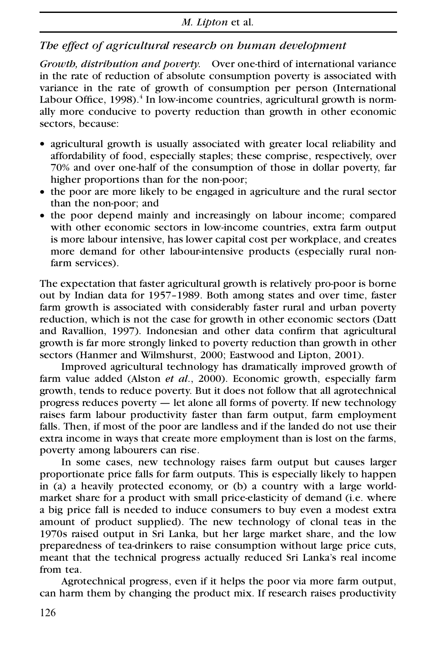# *The effect of agricultural research on human development*

*Growth, distribution and poverty*. Over one-third of international variance in the rate of reduction of absolute consumption poverty is associated with variance in the rate of growth of consumption per person (International Labour Office,  $1998$ .<sup>4</sup> In low-income countries, agricultural growth is normally more conducive to poverty reduction than growth in other economic sectors, because:

- · agricultural growth is usually associated with greater local reliability and affordability of food, especially staples; these comprise, respectively, over 70% and over one-half of the consumption of those in dollar poverty, far higher proportions than for the non-poor;
- · the poor are more likely to be engaged in agriculture and the rural sector than the non-poor; and
- · the poor depend mainly and increasingly on labour income; compared with other economic sectors in low-income countries, extra farm output is more labour intensive, has lower capital cost per workplace, and creates more demand for other labour-intensive products (especially rural nonfarm services).

The expectation that faster agricultural growth is relatively pro-poor is borne out by Indian data for 1957–1989. Both among states and over time, faster farm growth is associated with considerably faster rural and urban poverty reduction, which is not the case for growth in other economic sectors (Datt and Ravallion, 1997). Indonesian and other data confirm that agricultural growth is far more strongly linked to poverty reduction than growth in other sectors (Hanmer and Wilmshurst, 2000; Eastwood and Lipton, 2001).

Improved agricultural technology has dramatically improved growth of farm value added (Alston *et al*., 2000). Economic growth, especially farm growth, tends to reduce poverty. But it does not follow that all agrotechnical progress reduces poverty — let alone all forms of poverty. If new technology raises farm labour productivity faster than farm output, farm employment falls. Then, if most of the poor are landless and if the landed do not use their extra income in ways that create more employment than is lost on the farms, poverty among labourers can rise.

In some cases, new technology raises farm output but causes larger proportionate price falls for farm outputs. This is especially likely to happen in (a) a heavily protected economy, or (b) a country with a large world market share for a product with small price-elasticity of demand (i.e. where a big price fall is needed to induce consumers to buy even a modest extra amount of product supplied). The new technology of clonal teas in the 1970s raised output in Sri Lanka, but her large market share, and the low preparedness of tea-drinkers to raise consumption without large price cuts, meant that the technical progress actually reduced Sri Lanka's real income from tea.

Agrotechnical progress, even if it helps the poor via more farm output, can harm them by changing the product mix. If research raises productivity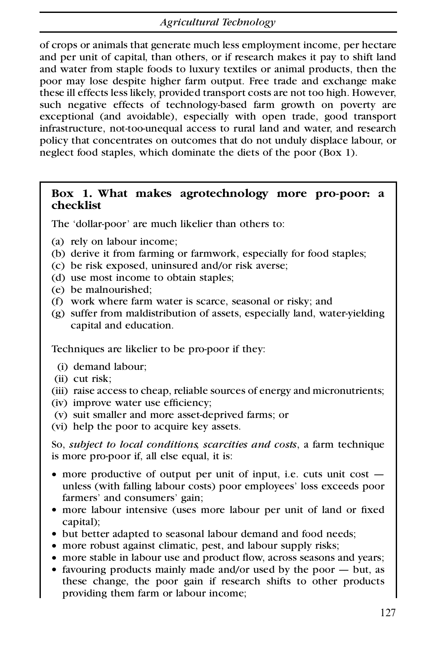of crops or animals that generate much less employment income, per hectare and per unit of capital, than others, or if research makes it pay to shift land and water from staple foods to luxury textiles or animal products, then the poor may lose despite higher farm output. Free trade and exchange make these ill effects less likely, provided transport costs are not too high. However, such negative effects of technology-based farm growth on poverty are exceptional (and avoidable), especially with open trade, good transport infrastructure, not-too-unequal access to rural land and water, and research policy that concentrates on outcomes that do not unduly displace labour, or neglect food staples, which dominate the diets of the poor (Box 1).

# **Box 1. What makes agrotechnology more pro-poor: a checklist**

The 'dollar-poor' are much likelier than others to:

- (a) rely on labour income;
- (b) derive it from farming or farmwork, especially for food staples;
- (c) be risk exposed, uninsured and/or risk averse;
- (d) use most income to obtain staples;
- (e) be malnourished;
- (f) work where farm water is scarce, seasonal or risky; and
- (g) suffer from maldistribution of assets, especially land, water-yielding capital and education.

Techniques are likelier to be pro-poor if they:

- (i) demand labour;
- (ii) cut risk;
- (iii) raise access to cheap, reliable sources of energy and micronutrients;
- (iv) improve water use efficiency;
- (v) suit smaller and more asset-deprived farms; or
- (vi) help the poor to acquire key assets.

So, *subject to local conditions, scarcities and costs*, a farm technique is more pro-poor if, all else equal, it is:

- more productive of output per unit of input, i.e. cuts unit cost unless (with falling labour costs) poor employees' loss exceeds poor farmers' and consumers' gain;
- more labour intensive (uses more labour per unit of land or fixed capital);
- · but better adapted to seasonal labour demand and food needs;
- more robust against climatic, pest, and labour supply risks;
- more stable in labour use and product flow, across seasons and years;
- favouring products mainly made and/or used by the poor but, as these change, the poor gain if research shifts to other products providing them farm or labour income;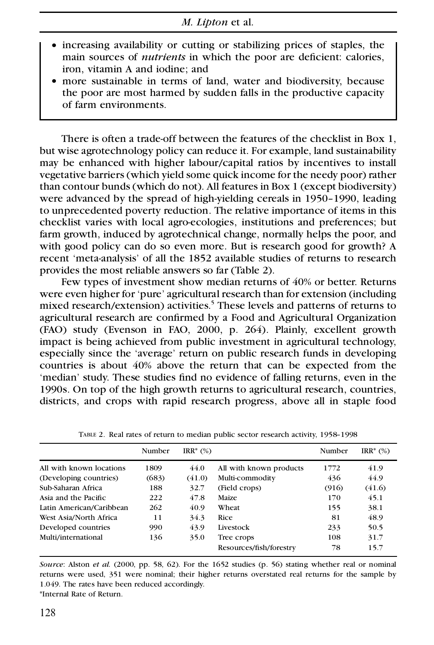- · increasing availability or cutting or stabilizing prices of staples, the main sources of *nutrients* in which the poor are deficient: calories, iron, vitamin A and iodine; and
- more sustainable in terms of land, water and biodiversity, because the poor are most harmed by sudden falls in the productive capacity of farm environments.

There is often a trade-off between the features of the checklist in Box 1, but wise agrotechnology policy can reduce it. For example, land sustainability may be enhanced with higher labour/capital ratios by incentives to install vegetative barriers (which yield some quick income for the needy poor) rather than contour bunds (which do not). All features in Box 1 (except biodiversity) were advanced by the spread of high-yielding cereals in 1950–1990, leading to unprecedented poverty reduction. The relative importance of items in this checklist varies with local agro-ecologies, institutions and preferences; but farm growth, induced by agrotechnical change, normally helps the poor, and with good policy can do so even more. But is research good for growth? A recent 'meta-analysis' of all the 1852 available studies of returns to research provides the most reliable answers so far (Table 2).

Few types of investment show median returns of 40% or better. Returns were even higher for 'pure' agricultural research than for extension (including mixed research/extension) activities.<sup>5</sup> These levels and patterns of returns to agricultural research are confirmed by a Food and Agricultural Organization (FAO) study (Evenson in FAO, 2000, p. 264). Plainly, excellent growth impact is being achieved from public investment in agricultural technology, especially since the 'average' return on public research funds in developing countries is about 40% above the return that can be expected from the 'median' study. These studies find no evidence of falling returns, even in the 1990s. On top of the high growth returns to agricultural research, countries, districts, and crops with rapid research progress, above all in staple food

|                          | Number | IRR <sup>*</sup> $(\%)$ |                         | Number | IRR <sup>*</sup> $(\%)$ |
|--------------------------|--------|-------------------------|-------------------------|--------|-------------------------|
| All with known locations | 1809   | 44.0                    | All with known products | 1772   | 41.9                    |
| (Developing countries)   | (683)  | (41.0)                  | Multi-commodity         | 436    | 44.9                    |
| Sub-Saharan Africa       | 188    | 32.7                    | (Field crops)           | (916)  | (41.6)                  |
| Asia and the Pacific     | 222    | 47.8                    | Maize                   | 170    | 45.1                    |
| Latin American/Caribbean | 262    | 40.9                    | Wheat                   | 155    | 38.1                    |
| West Asia/North Africa   | 11     | 34.3                    | Rice                    | 81     | 48.9                    |
| Developed countries      | 990    | 43.9                    | Livestock               | 233    | 50.5                    |
| Multi/international      | 136    | 35.0                    | Tree crops              | 108    | 31.7                    |
|                          |        |                         | Resources/fish/forestry | 78     | 15.7                    |

TABLE 2. Real rates of return to median public sector research activity, 1958–1998

*Source*: Alston *et al.* (2000, pp. 58, 62). For the 1652 studies (p. 56) stating whether real or nominal returns were used, 351 were nominal; their higher returns overstated real returns for the sample by 1.049. The rates have been reduced accordingly.

\*Internal Rate of Return.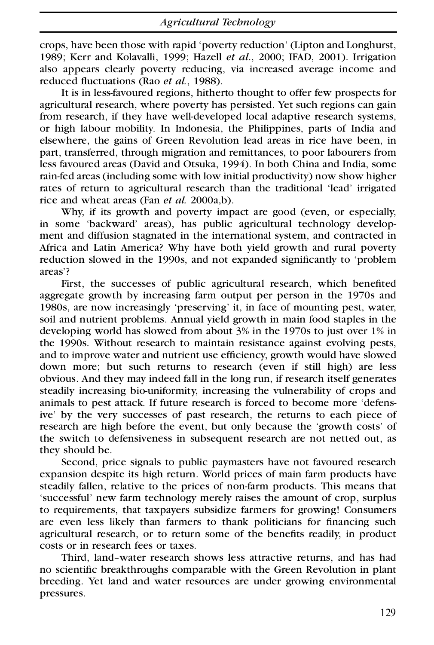crops, have been those with rapid 'poverty reduction' (Lipton and Longhurst, 1989; Kerr and Kolavalli, 1999; Hazell *et al*., 2000; IFAD, 2001). Irrigation also appears clearly poverty reducing, via increased average income and reduced fluctuations (Rao *et al.*, 1988).

It is in less-favoured regions, hitherto thought to offer few prospects for agricultural research, where poverty has persisted. Yet such regions can gain from research, if they have well-developed local adaptive research systems, or high labour mobility. In Indonesia, the Philippines, parts of India and elsewhere, the gains of Green Revolution lead areas in rice have been, in part, transferred, through migration and remittances, to poor labourers from less favoured areas (David and Otsuka, 1994). In both China and India, some rain-fed areas (including some with low initial productivity) now show higher rates of return to agricultural research than the traditional 'lead' irrigated rice and wheat areas (Fan *et al.* 2000a,b).

Why, if its growth and poverty impact are good (even, or especially, in some 'backward' areas), has public agricultural technology develop ment and diffusion stagnated in the international system, and contracted in Africa and Latin America? Why have both yield growth and rural poverty reduction slowed in the 1990s, and not expanded signicantly to 'problem areas'?

First, the successes of public agricultural research, which benefited aggregate growth by increasing farm output per person in the 1970s and 1980s, are now increasingly 'preserving' it, in face of mounting pest, water, soil and nutrient problems. Annual yield growth in main food staples in the developing world has slowed from about 3% in the 1970s to just over 1% in the 1990s. Without research to maintain resistance against evolving pests, and to improve water and nutrient use efficiency, growth would have slowed down more; but such returns to research (even if still high) are less obvious. And they may indeed fall in the long run, if research itself generates steadily increasing bio-uniformity, increasing the vulnerability of crops and animals to pest attack. If future research is forced to become more 'defensive' by the very successes of past research, the returns to each piece of research are high before the event, but only because the 'growth costs' of the switch to defensiveness in subsequent research are not netted out, as they should be.

Second, price signals to public paymasters have not favoured research expansion despite its high return. World prices of main farm products have steadily fallen, relative to the prices of non-farm products. This means that 'successful' new farm technology merely raises the amount of crop, surplus to requirements, that taxpayers subsidize farmers for growing! Consumers are even less likely than farmers to thank politicians for financing such agricultural research, or to return some of the benefits readily, in product costs or in research fees or taxes.

Third, land–water research shows less attractive returns, and has had no scientic breakthroughs comparable with the Green Revolution in plant breeding. Yet land and water resources are under growing environmental pressures.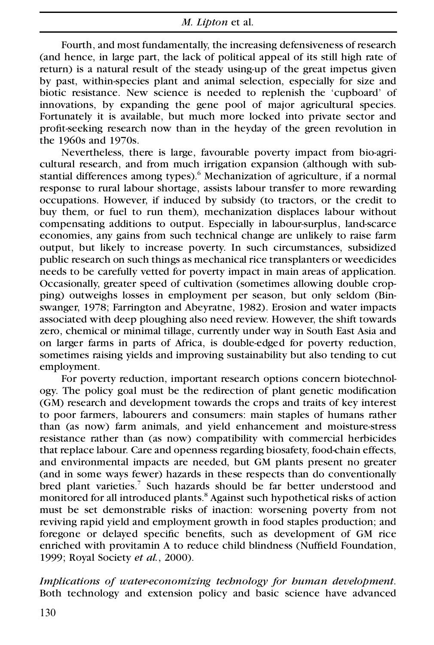Fourth, and most fundamentally, the increasing defensiveness of research (and hence, in large part, the lack of political appeal of its still high rate of return) is a natural result of the steady using-up of the great impetus given by past, within-species plant and animal selection, especially for size and biotic resistance. New science is needed to replenish the 'cupboard' of innovations, by expanding the gene pool of major agricultural species. Fortunately it is available, but much more locked into private sector and profit-seeking research now than in the heyday of the green revolution in the 1960s and 1970s.

Nevertheless, there is large, favourable poverty impact from bio-agri cultural research, and from much irrigation expansion (although with sub stantial differences among types).<sup>6</sup> Mechanization of agriculture, if a normal response to rural labour shortage, assists labour transfer to more rewarding occupations. However, if induced by subsidy (to tractors, or the credit to buy them, or fuel to run them), mechanization displaces labour without compensating additions to output. Especially in labour-surplus, land-scarce economies, any gains from such technical change are unlikely to raise farm output, but likely to increase poverty. In such circumstances, subsidized public research on such things as mechanical rice transplanters or weedicides needs to be carefully vetted for poverty impact in main areas of application. Occasionally, greater speed of cultivation (sometimes allowing double crop ping) outweighs losses in employment per season, but only seldom (Bin swanger, 1978; Farrington and Abeyratne, 1982). Erosion and water impacts associated with deep ploughing also need review. However, the shift towards zero, chemical or minimal tillage, currently under way in South East Asia and on larger farms in parts of Africa, is double-edged for poverty reduction, sometimes raising yields and improving sustainability but also tending to cut employment.

For poverty reduction, important research options concern biotechnol ogy. The policy goal must be the redirection of plant genetic modication (GM) research and development towards the crops and traits of key interest to poor farmers, labourers and consumers: main staples of humans rather than (as now) farm animals, and yield enhancement and moisture-stress resistance rather than (as now) compatibility with commercial herbicides that replace labour. Care and openness regarding biosafety, food-chain effects, and environmental impacts are needed, but GM plants present no greater (and in some ways fewer) hazards in these respects than do conventionally bred plant varieties.<sup>7</sup> Such hazards should be far better understood and monitored for all introduced plants.<sup>8</sup> Against such hypothetical risks of action must be set demonstrable risks of inaction: worsening poverty from not reviving rapid yield and employment growth in food staples production; and foregone or delayed specific benefits, such as development of GM rice enriched with provitamin A to reduce child blindness (Nuffield Foundation, 1999; Royal Society *et al.*, 2000).

*Implications of water-economizing technology for human development*. Both technology and extension policy and basic science have advanced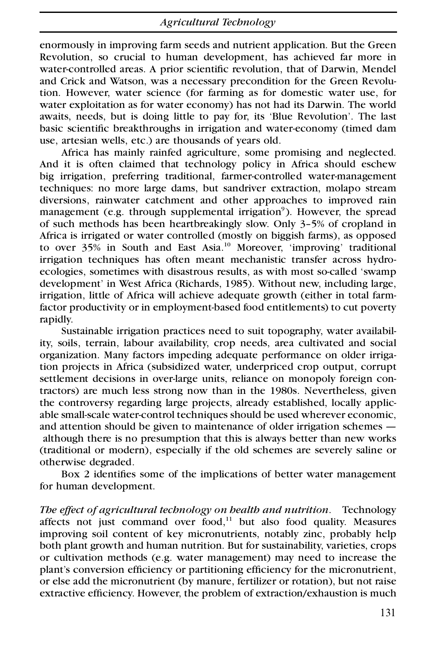enormously in improving farm seeds and nutrient application. But the Green Revolution, so crucial to human development, has achieved far more in water-controlled areas. A prior scientific revolution, that of Darwin, Mendel and Crick and Watson, was a necessary precondition for the Green Revolution. However, water science (for farming as for domestic water use, for water exploitation as for water economy) has not had its Darwin. The world awaits, needs, but is doing little to pay for, its 'Blue Revolution'. The last basic scientific breakthroughs in irrigation and water-economy (timed dam use, artesian wells, etc.) are thousands of years old.

Africa has mainly rainfed agriculture, some promising and neglected. And it is often claimed that technology policy in Africa should eschew big irrigation, preferring traditional, farmer-controlled water-management techniques: no more large dams, but sandriver extraction, molapo stream diversions, rainwater catchment and other approaches to improved rain management (e.g. through supplemental irrigation<sup>9</sup>). However, the spread of such methods has been heartbreakingly slow. Only  $3-5%$  of cropland in Africa is irrigated or water controlled (mostly on biggish farms), as opposed to over 35% in South and East Asia.<sup>10</sup> Moreover, 'improving' traditional irrigation techniques has often meant mechanistic transfer across hydro ecologies, sometimes with disastrous results, as with most so-called 'swamp development' in West Africa (Richards, 1985). Without new, including large, irrigation, little of Africa will achieve adequate growth (either in total farmfactor productivity or in employment-based food entitlements) to cut poverty rapidly.

Sustainable irrigation practices need to suit topography, water availability, soils, terrain, labour availability, crop needs, area cultivated and social organization. Many factors impeding adequate performance on older irrigation projects in Africa (subsidized water, underpriced crop output, corrupt settlement decisions in over-large units, reliance on monopoly foreign contractors) are much less strong now than in the 1980s. Nevertheless, given the controversy regarding large projects, already established, locally applic able small-scale water-control techniques should be used wherever economic, and attention should be given to maintenance of older irrigation schemes although there is no presumption that this is always better than new works (traditional or modern), especially if the old schemes are severely saline or otherwise degraded.

Box 2 identifies some of the implications of better water management for human development.

*The effect of agricultural technology on health and nutrition*. Technology affects not just command over food, $11$  but also food quality. Measures improving soil content of key micronutrients, notably zinc, probably help both plant growth and human nutrition. But for sustainability, varieties, crops or cultivation methods (e.g. water management) may need to increase the plant's conversion efficiency or partitioning efficiency for the micronutrient, or else add the micronutrient (by manure, fertilizer or rotation), but not raise extractive efficiency. However, the problem of extraction/exhaustion is much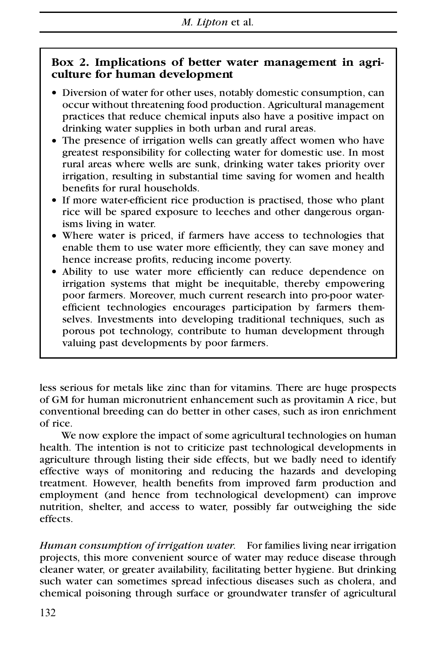# **Box 2. Implications of better water management in agri culture for human development**

- · Diversion of water for other uses, notably domestic consumption, can occur without threatening food production. Agricultural management practices that reduce chemical inputs also have a positive impact on drinking water supplies in both urban and rural areas.
- The presence of irrigation wells can greatly affect women who have greatest responsibility for collecting water for domestic use. In most rural areas where wells are sunk, drinking water takes priority over irrigation, resulting in substantial time saving for women and health benefits for rural households.
- If more water-efficient rice production is practised, those who plant rice will be spared exposure to leeches and other dangerous organisms living in water.
- · Where water is priced, if farmers have access to technologies that enable them to use water more efficiently, they can save money and hence increase profits, reducing income poverty.
- Ability to use water more efficiently can reduce dependence on irrigation systems that might be inequitable, thereby empowering poor farmers. Moreover, much current research into pro-poor water efficient technologies encourages participation by farmers themselves. Investments into developing traditional techniques, such as porous pot technology, contribute to human development through valuing past developments by poor farmers.

less serious for metals like zinc than for vitamins. There are huge prospects of GM for human micronutrient enhancement such as provitamin A rice, but conventional breeding can do better in other cases, such as iron enrichment of rice.

We now explore the impact of some agricultural technologies on human health. The intention is not to criticize past technological developments in agriculture through listing their side effects, but we badly need to identify effective ways of monitoring and reducing the hazards and developing treatment. However, health benefits from improved farm production and employment (and hence from technological development) can improve nutrition, shelter, and access to water, possibly far outweighing the side effects.

*Human consumption of irrigation water*. For families living near irrigation projects, this more convenient source of water may reduce disease through cleaner water, or greater availability, facilitating better hygiene. But drinking such water can sometimes spread infectious diseases such as cholera, and chemical poisoning through surface or groundwater transfer of agricultural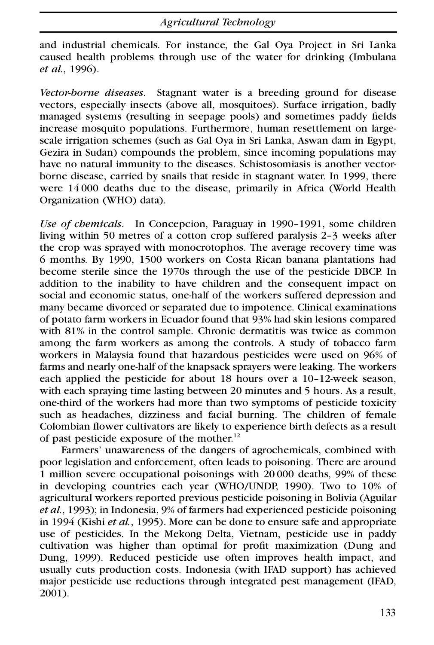and industrial chemicals. For instance, the Gal Oya Project in Sri Lanka caused health problems through use of the water for drinking (Imbulana *et al.*, 1996).

*Vector-borne diseases*. Stagnant water is a breeding ground for disease vectors, especially insects (above all, mosquitoes). Surface irrigation, badly managed systems (resulting in seepage pools) and sometimes paddy fields increase mosquito populations. Furthermore, human resettlement on large scale irrigation schemes (such as Gal Oya in Sri Lanka, Aswan dam in Egypt, Gezira in Sudan) compounds the problem, since incoming populations may have no natural immunity to the diseases. Schistosomiasis is another vector borne disease, carried by snails that reside in stagnant water. In 1999, there were 14 000 deaths due to the disease, primarily in Africa (World Health Organization (WHO) data).

*Use of chemicals*. In Concepcion, Paraguay in 1990–1991, some children living within 50 metres of a cotton crop suffered paralysis 2–3 weeks after the crop was sprayed with monocrotophos. The average recovery time was 6 months. By 1990, 1500 workers on Costa Rican banana plantations had become sterile since the 1970s through the use of the pesticide DBCP. In addition to the inability to have children and the consequent impact on social and economic status, one-half of the workers suffered depression and many became divorced or separated due to impotence. Clinical examinations of potato farm workers in Ecuador found that 93% had skin lesions compared with 81% in the control sample. Chronic dermatitis was twice as common among the farm workers as among the controls. A study of tobacco farm workers in Malaysia found that hazardous pesticides were used on 96% of farms and nearly one-half of the knapsack sprayers were leaking. The workers each applied the pesticide for about 18 hours over a 10–12-week season, with each spraying time lasting between 20 minutes and 5 hours. As a result, one-third of the workers had more than two symptoms of pesticide toxicity such as headaches, dizziness and facial burning. The children of female Colombian flower cultivators are likely to experience birth defects as a result of past pesticide exposure of the mother.<sup>12</sup>

Farmers' unawareness of the dangers of agrochemicals, combined with poor legislation and enforcement, often leads to poisoning. There are around 1 million severe occupational poisonings with 20 000 deaths, 99% ofthese in developing countries each year (WHO/UNDP, 1990). Two to 10% of agricultural workers reported previous pesticide poisoning in Bolivia (Aguilar *et al.*, 1993); in Indonesia, 9% of farmers had experienced pesticide poisoning in 1994 (Kishi *et al.*, 1995). More can be done to ensure safe and appropriate use of pesticides. In the Mekong Delta, Vietnam, pesticide use in paddy cultivation was higher than optimal for profit maximization (Dung and Dung, 1999). Reduced pesticide use often improves health impact, and usually cuts production costs. Indonesia (with IFAD support) has achieved major pesticide use reductions through integrated pest management (IFAD, 2001).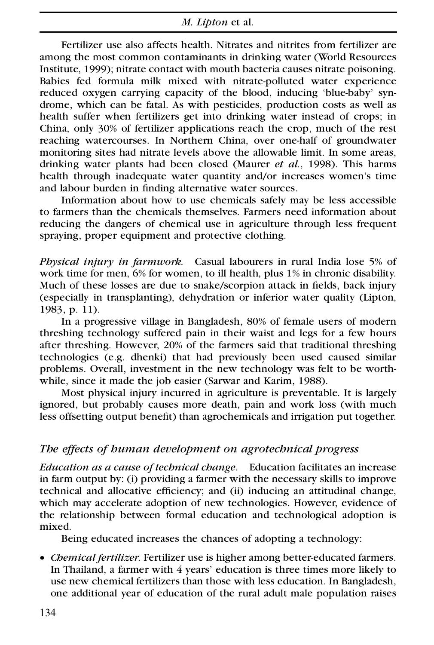Fertilizer use also affects health. Nitrates and nitrites from fertilizer are among the most common contaminants in drinking water (World Resources Institute, 1999); nitrate contact with mouth bacteria causes nitrate poisoning. Babies fed formula milk mixed with nitrate-polluted water experience reduced oxygen carrying capacity of the blood, inducing 'blue-baby' syn drome, which can be fatal. As with pesticides, production costs as well as health suffer when fertilizers get into drinking water instead of crops; in China, only 30% of fertilizer applications reach the crop, much of the rest reaching watercourses. In Northern China, over one-half of groundwater monitoring sites had nitrate levels above the allowable limit. In some areas, drinking water plants had been closed (Maurer *et al.*, 1998). This harms health through inadequate water quantity and/or increases women's time and labour burden in finding alternative water sources.

Information about how to use chemicals safely may be less accessible to farmers than the chemicals themselves. Farmers need information about reducing the dangers of chemical use in agriculture through less frequent spraying, proper equipment and protective clothing.

*Physical injury in farmwork.* Casual labourers in rural India lose 5% of work time for men, 6% for women, to ill health, plus 1% in chronic disability. Much of these losses are due to snake/scorpion attack in fields, back injury (especially in transplanting), dehydration or inferior water quality (Lipton, 1983, p. 11).

In a progressive village in Bangladesh, 80% of female users of modern threshing technology suffered pain in their waist and legs for a few hours after threshing. However, 20% of the farmers said that traditional threshing technologies (e.g. dhenki) that had previously been used caused similar problems. Overall, investment in the new technology was felt to be worth while, since it made the job easier (Sarwar and Karim, 1988).

Most physical injury incurred in agriculture is preventable. It is largely ignored, but probably causes more death, pain and work loss (with much less offsetting output benet) than agrochemicals and irrigation put together.

#### *The effects of human development on agrotechnical progress*

*Education as a cause of technical change*. Education facilitates an increase in farm output by: (i) providing a farmer with the necessary skills to improve technical and allocative efficiency; and (ii) inducing an attitudinal change, which may accelerate adoption of new technologies. However, evidence of the relationship between formal education and technological adoption is mixed.

Being educated increases the chances of adopting a technology:

· *Chemical fertilizer*. Fertilizer use is higher among better-educated farmers. In Thailand, a farmer with 4 years' education is three times more likely to use new chemical fertilizers than those with less education. In Bangladesh, one additional year of education of the rural adult male population raises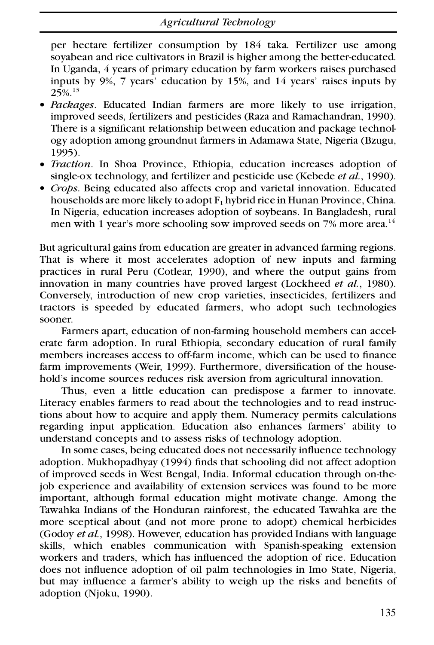per hectare fertilizer consumption by 184 taka. Fertilizer use among soyabean and rice cultivators in Brazil is higher among the better-educated. In Uganda, 4 years of primary education by farm workers raises purchased inputs by 9%, 7 years' education by 15%, and 14 years' raises inputs by  $25\%$ <sup>13</sup>

- · *Packages*. Educated Indian farmers are more likely to use irrigation, improved seeds, fertilizers and pesticides (Raza and Ramachandran, 1990). There is a significant relationship between education and package technology adoption among groundnut farmers in Adamawa State, Nigeria (Bzugu, 1995).
- · *Traction*. In Shoa Province, Ethiopia, education increases adoption of single-ox technology, and fertilizer and pesticide use (Kebede *et al.*, 1990).
- · *Crops*. Being educated also affects crop and varietal innovation. Educated households are more likely to adopt  $F_1$  hybrid rice in Hunan Province, China. In Nigeria, education increases adoption of soybeans. In Bangladesh, rural men with 1 year's more schooling sow improved seeds on  $7\%$  more area.<sup>14</sup>

But agricultural gains from education are greater in advanced farming regions. That is where it most accelerates adoption of new inputs and farming practices in rural Peru (Cotlear, 1990), and where the output gains from innovation in many countries have proved largest (Lockheed *et al.*, 1980). Conversely, introduction of new crop varieties, insecticides, fertilizers and tractors is speeded by educated farmers, who adopt such technologies sooner.

Farmers apart, education of non-farming household members can accel erate farm adoption. In rural Ethiopia, secondary education of rural family members increases access to off-farm income, which can be used to finance farm improvements (Weir, 1999). Furthermore, diversification of the household's income sources reduces risk aversion from agricultural innovation.

Thus, even a little education can predispose a farmer to innovate. Literacy enables farmers to read about the technologies and to read instructions about how to acquire and apply them. Numeracy permits calculations regarding input application. Education also enhances farmers' ability to understand concepts and to assess risks of technology adoption.

In some cases, being educated does not necessarily influence technology adoption. Mukhopadhyay (1994) finds that schooling did not affect adoption of improved seeds in West Bengal, India. Informal education through on-thejob experience and availability of extension services was found to be more important, although formal education might motivate change. Among the Tawahka Indians of the Honduran rainforest, the educated Tawahka are the more sceptical about (and not more prone to adopt) chemical herbicides (Godoy *et al.*, 1998). However, education has provided Indians with language skills, which enables communication with Spanish-speaking extension workers and traders, which has influenced the adoption of rice. Education does not influence adoption of oil palm technologies in Imo State, Nigeria, but may influence a farmer's ability to weigh up the risks and benefits of adoption (Njoku, 1990).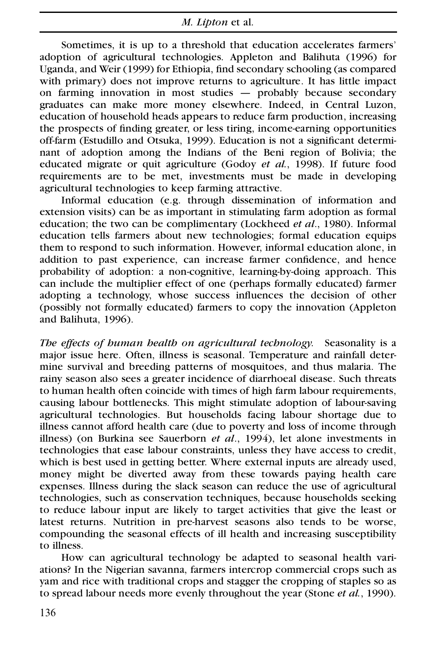Sometimes, it is up to a threshold that education accelerates farmers' adoption of agricultural technologies. Appleton and Balihuta (1996) for Uganda, and Weir (1999) for Ethiopia, find secondary schooling (as compared with primary) does not improve returns to agriculture. It has little impact on farming innovation in most studies — probably because secondary graduates can make more money elsewhere. Indeed, in Central Luzon, education of household heads appears to reduce farm production, increasing the prospects of nding greater, or less tiring, income-earning opportunities off-farm (Estudillo and Otsuka, 1999). Education is not a signicant determi nant of adoption among the Indians of the Beni region of Bolivia; the educated migrate or quit agriculture (Godoy *et al.*, 1998). If future food requirements are to be met, investments must be made in developing agricultural technologies to keep farming attractive.

Informal education (e.g. through dissemination of information and extension visits) can be as important in stimulating farm adoption as formal education; the two can be complimentary (Lockheed *et al*., 1980). Informal education tells farmers about new technologies; formal education equips them to respond to such information. However, informal education alone, in addition to past experience, can increase farmer confidence, and hence probability of adoption: a non-cognitive, learning-by-doing approach. This can include the multiplier effect of one (perhaps formally educated) farmer adopting a technology, whose success influences the decision of other (possibly not formally educated) farmers to copy the innovation (Appleton and Balihuta, 1996).

*The effects of human health on agricultural technology*. Seasonality is a major issue here. Often, illness is seasonal. Temperature and rainfall deter mine survival and breeding patterns of mosquitoes, and thus malaria. The rainy season also sees a greater incidence of diarrhoeal disease. Such threats to human health often coincide with times of high farm labour requirements, causing labour bottlenecks. This might stimulate adoption of labour-saving agricultural technologies. But households facing labour shortage due to illness cannot afford health care (due to poverty and loss of income through illness) (on Burkina see Sauerborn *et al*., 1994), let alone investments in technologies that ease labour constraints, unless they have access to credit, which is best used in getting better. Where external inputs are already used, money might be diverted away from these towards paying health care expenses. Illness during the slack season can reduce the use of agricultural technologies, such as conservation techniques, because households seeking to reduce labour input are likely to target activities that give the least or latest returns. Nutrition in pre-harvest seasons also tends to be worse, compounding the seasonal effects of ill health and increasing susceptibility to illness.

How can agricultural technology be adapted to seasonal health vari ations? In the Nigerian savanna, farmers intercrop commercial crops such as yam and rice with traditional crops and stagger the cropping of staples so as to spread labour needs more evenly throughout the year (Stone *et al.*, 1990).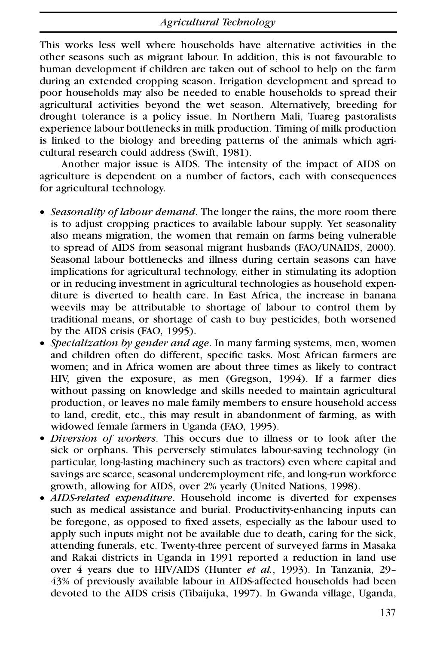This works less well where households have alternative activities in the other seasons such as migrant labour. In addition, this is not favourable to human development if children are taken out of school to help on the farm during an extended cropping season. Irrigation development and spread to poor households may also be needed to enable households to spread their agricultural activities beyond the wet season. Alternatively, breeding for drought tolerance is a policy issue. In Northern Mali, Tuareg pastoralists experience labour bottlenecks in milk production. Timing of milk production is linked to the biology and breeding patterns of the animals which agri cultural research could address (Swift, 1981).

Another major issue is AIDS. The intensity of the impact of AIDS on agriculture is dependent on a number of factors, each with consequences for agricultural technology.

- · *Seasonality of labour demand*. The longer the rains, the more room there is to adjust cropping practices to available labour supply. Yet seasonality also means migration, the women that remain on farms being vulnerable to spread of AIDS from seasonal migrant husbands (FAO/UNAIDS, 2000). Seasonal labour bottlenecks and illness during certain seasons can have implications for agricultural technology, either in stimulating its adoption or in reducing investment in agricultural technologies as household expen diture is diverted to health care. In East Africa, the increase in banana weevils may be attributable to shortage of labour to control them by traditional means, or shortage of cash to buy pesticides, both worsened by the AIDS crisis (FAO, 1995).
- · *Specialization by gender and age*. In many farming systems, men, women and children often do different, specific tasks. Most African farmers are women; and in Africa women are about three times as likely to contract HIV, given the exposure, as men (Gregson, 1994). If a farmer dies without passing on knowledge and skills needed to maintain agricultural production, or leaves no male family members to ensure household access to land, credit, etc., this may result in abandonment of farming, as with widowed female farmers in Uganda (FAO, 1995).
- · *Diversion of workers*. This occurs due to illness or to look after the sick or orphans. This perversely stimulates labour-saving technology (in particular, long-lasting machinery such as tractors) even where capital and savings are scarce, seasonal underemployment rife, and long-run workforce growth, allowing for AIDS, over 2% yearly (United Nations, 1998).
- · *AIDS-related expenditure*. Household income is diverted for expenses such as medical assistance and burial. Productivity-enhancing inputs can be foregone, as opposed to fixed assets, especially as the labour used to apply such inputs might not be available due to death, caring for the sick, attending funerals, etc. Twenty-three percent of surveyed farms in Masaka and Rakai districts in Uganda in 1991 reported a reduction in land use over 4 years due to HIV/AIDS (Hunter *et al.*, 1993). In Tanzania, 29– 43% of previously available labour in AIDS-affected households had been devoted to the AIDS crisis (Tibaijuka, 1997). In Gwanda village, Uganda,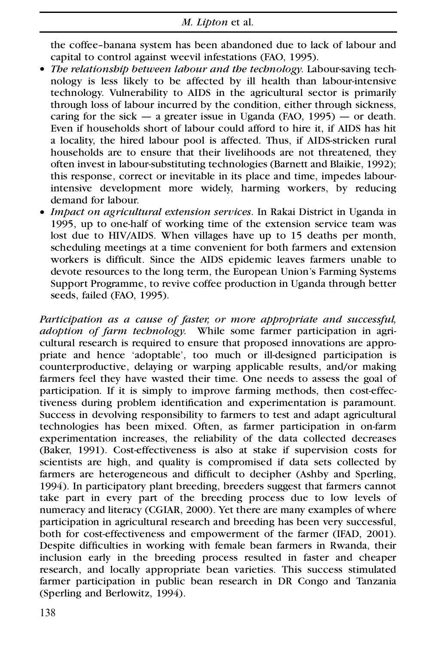the coffee–banana system has been abandoned due to lack of labour and capital to control against weevil infestations (FAO, 1995).

- · *The relationship between labour and the technology*. Labour-saving tech nology is less likely to be affected by ill health than labour-intensive technology. Vulnerability to AIDS in the agricultural sector is primarily through loss of labour incurred by the condition, either through sickness, caring for the sick  $-$  a greater issue in Uganda (FAO, 1995)  $-$  or death. Even if households short of labour could afford to hire it, if AIDS has hit a locality, the hired labour pool is affected. Thus, if AIDS-stricken rural households are to ensure that their livelihoods are not threatened, they often invest in labour-substituting technologies (Barnett and Blaikie, 1992); this response, correct or inevitable in its place and time, impedes labourintensive development more widely, harming workers, by reducing demand for labour.
- · *Impact on agricultural extension services*. In Rakai District in Uganda in 1995, up to one-half of working time of the extension service team was lost due to HIV/AIDS. When villages have up to 15 deaths per month, scheduling meetings at a time convenient for both farmers and extension workers is difficult. Since the AIDS epidemic leaves farmers unable to devote resources to the long term, the European Union's Farming Systems Support Programme, to revive coffee production in Uganda through better seeds, failed (FAO, 1995).

*Participation as a cause of faster, or more appropriate and successful, adoption of farm technology*. While some farmer participation in agri cultural research is required to ensure that proposed innovations are appro priate and hence 'adoptable', too much or ill-designed participation is counterproductive, delaying or warping applicable results, and/or making farmers feel they have wasted their time. One needs to assess the goal of participation. If it is simply to improve farming methods, then cost-effectiveness during problem identification and experimentation is paramount. Success in devolving responsibility to farmers to test and adapt agricultural technologies has been mixed. Often, as farmer participation in on-farm experimentation increases, the reliability of the data collected decreases (Baker, 1991). Cost-effectiveness is also at stake if supervision costs for scientists are high, and quality is compromised if data sets collected by farmers are heterogeneous and difficult to decipher (Ashby and Sperling, 1994). In participatory plant breeding, breeders suggest that farmers cannot take part in every part of the breeding process due to low levels of numeracy and literacy (CGIAR, 2000). Yet there are many examples of where participation in agricultural research and breeding has been very successful, both for cost-effectiveness and empowerment of the farmer (IFAD, 2001). Despite difficulties in working with female bean farmers in Rwanda, their inclusion early in the breeding process resulted in faster and cheaper research, and locally appropriate bean varieties. This success stimulated farmer participation in public bean research in DR Congo and Tanzania (Sperling and Berlowitz, 1994).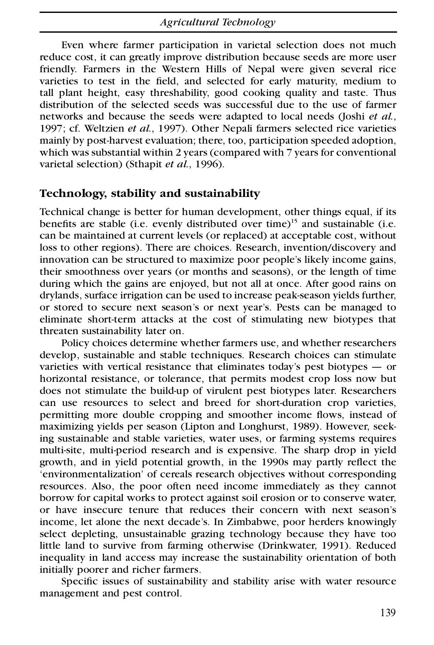Even where farmer participation in varietal selection does not much reduce cost, it can greatly improve distribution because seeds are more user friendly. Farmers in the Western Hills of Nepal were given several rice varieties to test in the field, and selected for early maturity, medium to tall plant height, easy threshability, good cooking quality and taste. Thus distribution of the selected seeds was successful due to the use of farmer networks and because the seeds were adapted to local needs (Joshi *et al.*, 1997; cf. Weltzien *et al.*, 1997). Other Nepali farmers selected rice varieties mainly by post-harvest evaluation; there, too, participation speeded adoption, which was substantial within 2 years (compared with 7 years for conventional varietal selection) (Sthapit *et al.*, 1996).

# **Technology, stability and sustainability**

Technical change is better for human development, other things equal, if its benefits are stable (i.e. evenly distributed over time)<sup>15</sup> and sustainable (i.e. can be maintained at current levels (or replaced) at acceptable cost, without loss to other regions). There are choices. Research, invention/discovery and innovation can be structured to maximize poor people's likely income gains, their smoothness over years (or months and seasons), or the length of time during which the gains are enjoyed, but not all at once. After good rains on drylands, surface irrigation can be used to increase peak-season yields further, or stored to secure next season's or next year's. Pests can be managed to eliminate short-term attacks at the cost of stimulating new biotypes that threaten sustainability later on.

Policy choices determine whether farmers use, and whether researchers develop, sustainable and stable techniques. Research choices can stimulate varieties with vertical resistance that eliminates today's pest biotypes — or horizontal resistance, or tolerance, that permits modest crop loss now but does not stimulate the build-up of virulent pest biotypes later. Researchers can use resources to select and breed for short-duration crop varieties, permitting more double cropping and smoother income flows, instead of maximizing yields per season (Lipton and Longhurst, 1989). However, seeking sustainable and stable varieties, water uses, or farming systems requires multi-site, multi-period research and is expensive. The sharp drop in yield growth, and in yield potential growth, in the 1990s may partly reflect the 'environmentalization' of cereals research objectives without corresponding resources. Also, the poor often need income immediately as they cannot borrow for capital works to protect against soil erosion or to conserve water, or have insecure tenure that reduces their concern with next season's income, let alone the next decade's. In Zimbabwe, poor herders knowingly select depleting, unsustainable grazing technology because they have too little land to survive from farming otherwise (Drinkwater, 1991). Reduced inequality in land access may increase the sustainability orientation of both initially poorer and richer farmers.

Specific issues of sustainability and stability arise with water resource management and pest control.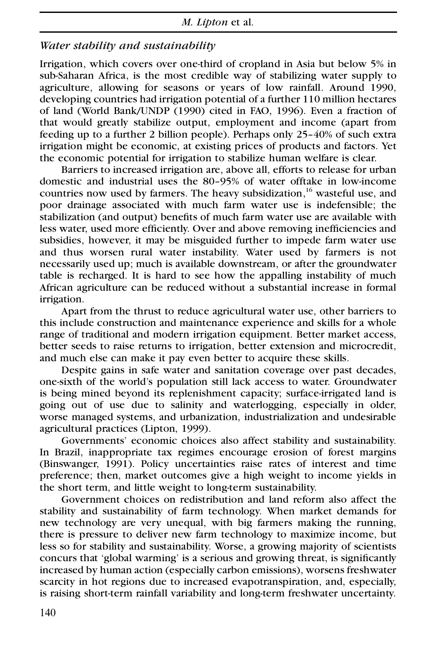# *Water stability and sustainability*

Irrigation, which covers over one-third of cropland in Asia but below 5% in sub-Saharan Africa, is the most credible way of stabilizing water supply to agriculture, allowing for seasons or years of low rainfall. Around 1990, developing countries had irrigation potential of a further 110 million hectares of land (World Bank/UNDP (1990) cited in FAO, 1996). Even a fraction of that would greatly stabilize output, employment and income (apart from feeding up to a further 2 billion people). Perhaps only  $25-40\%$  of such extra irrigation might be economic, at existing prices of products and factors. Yet the economic potential for irrigation to stabilize human welfare is clear.

Barriers to increased irrigation are, above all, efforts to release for urban domestic and industrial uses the 80–95% of water offtake in low-income countries now used by farmers. The heavy subsidization,<sup>16</sup> wasteful use, and poor drainage associated with much farm water use is indefensible; the stabilization (and output) benets of much farm water use are available with less water, used more efficiently. Over and above removing inefficiencies and subsidies, however, it may be misguided further to impede farm water use and thus worsen rural water instability. Water used by farmers is not necessarily used up; much is available downstream, or after the groundwater table is recharged. It is hard to see how the appalling instability of much African agriculture can be reduced without a substantial increase in formal irrigation.

Apart from the thrust to reduce agricultural water use, other barriers to this include construction and maintenance experience and skills for a whole range of traditional and modern irrigation equipment. Better market access, better seeds to raise returns to irrigation, better extension and microcredit, and much else can make it pay even better to acquire these skills.

Despite gains in safe water and sanitation coverage over past decades, one-sixth of the world's population still lack access to water. Groundwater is being mined beyond its replenishment capacity; surface-irrigated land is going out of use due to salinity and waterlogging, especially in older, worse managed systems, and urbanization, industrialization and undesirable agricultural practices (Lipton, 1999).

Governments' economic choices also affect stability and sustainability. In Brazil, inappropriate tax regimes encourage erosion of forest margins (Binswanger, 1991). Policy uncertainties raise rates of interest and time preference; then, market outcomes give a high weight to income yields in the short term, and little weight to long-term sustainability.

Government choices on redistribution and land reform also affect the stability and sustainability of farm technology. When market demands for new technology are very unequal, with big farmers making the running, there is pressure to deliver new farm technology to maximize income, but less so for stability and sustainability. Worse, a growing majority of scientists concurs that 'global warming' is a serious and growing threat, is signicantly increased by human action (especially carbon emissions), worsens freshwater scarcity in hot regions due to increased evapotranspiration, and, especially, is raising short-term rainfall variability and long-term freshwater uncertainty.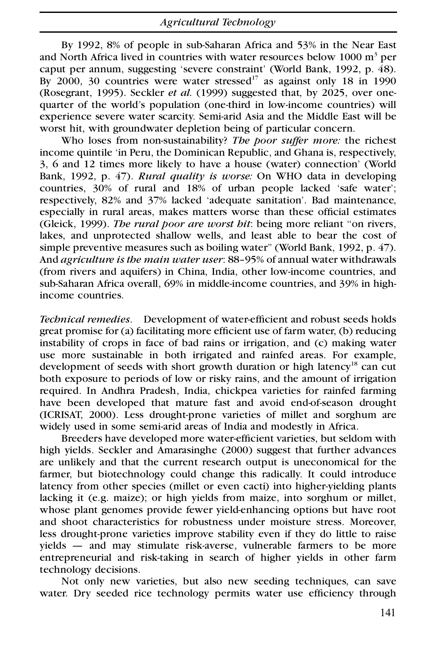By 1992, 8% of people in sub-Saharan Africa and 53% in the Near East and North Africa lived in countries with water resources below  $1000 \text{ m}^3$  per caput per annum, suggesting 'severe constraint' (World Bank, 1992, p. 48). By 2000, 30 countries were water stressed $17$  as against only 18 in 1990 (Rosegrant, 1995). Seckler *et al.* (1999) suggested that, by 2025, over one quarter of the world's population (one-third in low-income countries) will experience severe water scarcity. Semi-arid Asia and the Middle East will be worst hit, with groundwater depletion being of particular concern.

Who loses from non-sustainability? *The poor suffer more:* the richest income quintile 'in Peru, the Dominican Republic, and Ghana is, respectively, 3, 6 and 12 times more likely to have a house (water) connection' (World Bank, 1992, p. 47). *Rural quality is worse:* On WHO data in developing countries, 30% of rural and 18% of urban people lacked 'safe water'; respectively, 82% and 37% lacked 'adequate sanitation'. Bad maintenance, especially in rural areas, makes matters worse than these official estimates (Gleick, 1999). *The rural poor are worst hit*: being more reliant ''on rivers, lakes, and unprotected shallow wells, and least able to bear the cost of simple preventive measures such as boiling water'' (World Bank, 1992, p. 47). And *agriculture is the main water user*: 88–95% of annual water withdrawals (from rivers and aquifers) in China, India, other low-income countries, and sub-Saharan Africa overall, 69% in middle-income countries, and 39% in highincome countries.

*Technical remedies.* Development of water-efficient and robust seeds holds great promise for  $(a)$  facilitating more efficient use of farm water,  $(b)$  reducing instability of crops in face of bad rains or irrigation, and (c) making water use more sustainable in both irrigated and rainfed areas. For example, development of seeds with short growth duration or high latency<sup>18</sup> can cut both exposure to periods of low or risky rains, and the amount of irrigation required. In Andhra Pradesh, India, chickpea varieties for rainfed farming have been developed that mature fast and avoid end-of-season drought (ICRISAT, 2000). Less drought-prone varieties of millet and sorghum are widely used in some semi-arid areas of India and modestly in Africa.

Breeders have developed more water-efficient varieties, but seldom with high yields. Seckler and Amarasinghe (2000) suggest that further advances are unlikely and that the current research output is uneconomical for the farmer, but biotechnology could change this radically. It could introduce latency from other species (millet or even cacti) into higher-yielding plants lacking it (e.g. maize); or high yields from maize, into sorghum or millet, whose plant genomes provide fewer yield-enhancing options but have root and shoot characteristics for robustness under moisture stress. Moreover, less drought-prone varieties improve stability even if they do little to raise yields — and may stimulate risk-averse, vulnerable farmers to be more entrepreneurial and risk-taking in search of higher yields in other farm technology decisions.

Not only new varieties, but also new seeding techniques, can save water. Dry seeded rice technology permits water use efficiency through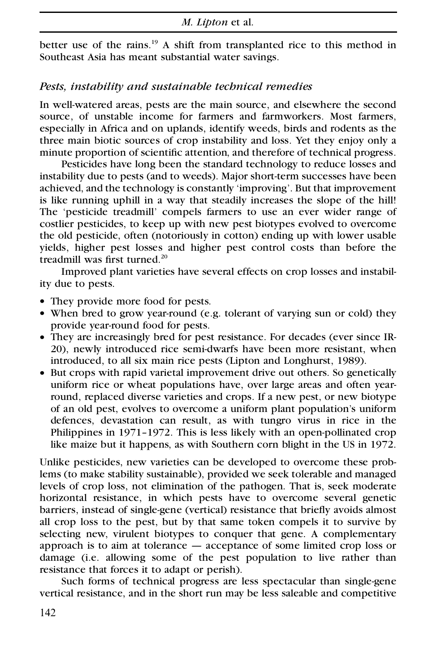better use of the rains.<sup>19</sup> A shift from transplanted rice to this method in Southeast Asia has meant substantial water savings.

# *Pests, instability and sustainable technical remedies*

In well-watered areas, pests are the main source, and elsewhere the second source, of unstable income for farmers and farmworkers. Most farmers, especially in Africa and on uplands, identify weeds, birds and rodents as the three main biotic sources of crop instability and loss. Yet they enjoy only a minute proportion of scientific attention, and therefore of technical progress.

Pesticides have long been the standard technology to reduce losses and instability due to pests (and to weeds). Major short-term successes have been achieved, and the technology is constantly 'improving'. But that improvement is like running uphill in a way that steadily increases the slope of the hill! The 'pesticide treadmill' compels farmers to use an ever wider range of costlier pesticides, to keep up with new pest biotypes evolved to overcome the old pesticide, often (notoriously in cotton) ending up with lower usable yields, higher pest losses and higher pest control costs than before the treadmill was first turned. $20$ 

Improved plant varieties have several effects on crop losses and instability due to pests.

- They provide more food for pests.
- When bred to grow year-round (e.g. tolerant of varying sun or cold) they provide year-round food for pests.
- · They are increasingly bred for pest resistance. For decades (ever since IR- 20), newly introduced rice semi-dwarfs have been more resistant, when introduced, to all six main rice pests (Lipton and Longhurst, 1989).
- · But crops with rapid varietal improvement drive out others. So genetically uniform rice or wheat populations have, over large areas and often year round, replaced diverse varieties and crops. If a new pest, or new biotype of an old pest, evolves to overcome a uniform plant population's uniform defences, devastation can result, as with tungro virus in rice in the Philippines in 1971–1972. This is less likely with an open-pollinated crop like maize but it happens, as with Southern corn blight in the US in 1972.

Unlike pesticides, new varieties can be developed to overcome these problems (to make stability sustainable), provided we seek tolerable and managed levels of crop loss, not elimination of the pathogen. That is, seek moderate horizontal resistance, in which pests have to overcome several genetic barriers, instead of single-gene (vertical) resistance that briefly avoids almost all crop loss to the pest, but by that same token compels it to survive by selecting new, virulent biotypes to conquer that gene. A complementary approach is to aim at tolerance — acceptance of some limited crop loss or damage (i.e. allowing some of the pest population to live rather than resistance that forces it to adapt or perish).

Such forms of technical progress are less spectacular than single-gene vertical resistance, and in the short run may be less saleable and competitive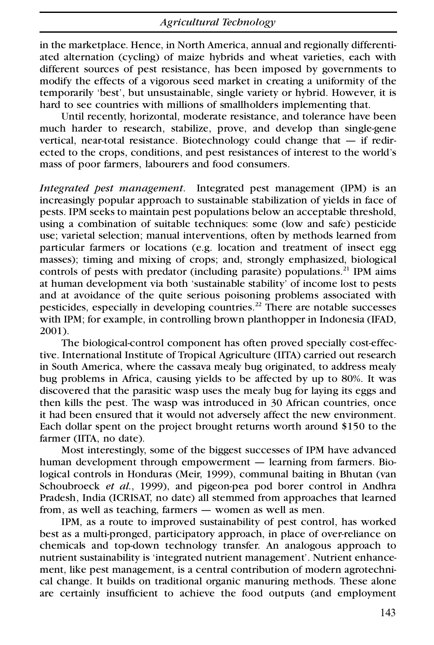in the marketplace. Hence, in North America, annual and regionally differenti ated alternation (cycling) of maize hybrids and wheat varieties, each with different sources of pest resistance, has been imposed by governments to modify the effects of a vigorous seed market in creating a uniformity of the temporarily 'best', but unsustainable, single variety or hybrid. However, it is hard to see countries with millions of smallholders implementing that.

Until recently, horizontal, moderate resistance, and tolerance have been much harder to research, stabilize, prove, and develop than single-gene vertical, near-total resistance. Biotechnology could change that — if redir ected to the crops, conditions, and pest resistances of interest to the world's mass of poor farmers, labourers and food consumers.

*Integrated pest management*. Integrated pest management (IPM) is an increasingly popular approach to sustainable stabilization of yields in face of pests. IPM seeks to maintain pest populations below an acceptable threshold, using a combination of suitable techniques: some (low and safe) pesticide use; varietal selection; manual interventions, often by methods learned from particular farmers or locations (e.g. location and treatment of insect egg masses); timing and mixing of crops; and, strongly emphasized, biological controls of pests with predator (including parasite) populations.<sup>21</sup> IPM aims at human development via both 'sustainable stability' of income lost to pests and at avoidance of the quite serious poisoning problems associated with pesticides, especially in developing countries. $22$  There are notable successes with IPM; for example, in controlling brown planthopper in Indonesia (IFAD, 2001).

The biological-control component has often proved specially cost-effective. International Institute of Tropical Agriculture (IITA) carried out research in South America, where the cassava mealy bug originated, to address mealy bug problems in Africa, causing yields to be affected by up to 80%. It was discovered that the parasitic wasp uses the mealy bug for laying its eggs and then kills the pest. The wasp was introduced in 30 African countries, once it had been ensured that it would not adversely affect the new environment. Each dollar spent on the project brought returns worth around \$150 to the farmer (IITA, no date).

Most interestingly, some of the biggest successes of IPM have advanced human development through empowerment — learning from farmers. Biological controls in Honduras (Meir, 1999), communal baiting in Bhutan (van Schoubroeck *et al.*, 1999), and pigeon-pea pod borer control in Andhra Pradesh, India (ICRISAT, no date) all stemmed from approaches that learned from, as well as teaching, farmers — women as well as men.

IPM, as a route to improved sustainability of pest control, has worked best as a multi-pronged, participatory approach, in place of over-reliance on chemicals and top-down technology transfer. An analogous approach to nutrient sustainability is 'integrated nutrient management'. Nutrient enhance ment, like pest management, is a central contribution of modern agrotechni cal change. It builds on traditional organic manuring methods. These alone are certainly insufficient to achieve the food outputs (and employment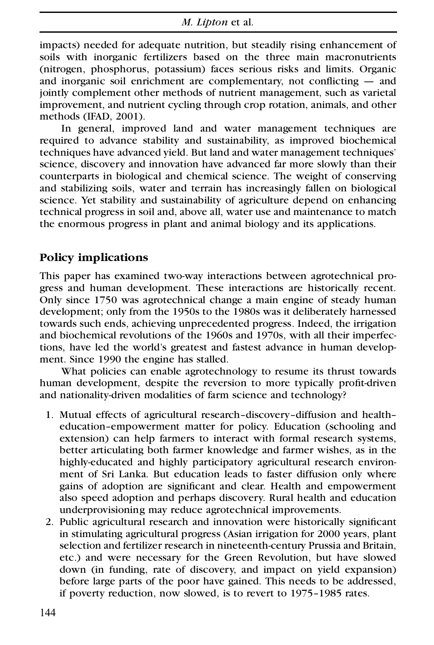impacts) needed for adequate nutrition, but steadily rising enhancement of soils with inorganic fertilizers based on the three main macronutrients (nitrogen, phosphorus, potassium) faces serious risks and limits. Organic and inorganic soil enrichment are complementary, not conflicting  $-$  and jointly complement other methods of nutrient management, such as varietal improvement, and nutrient cycling through crop rotation, animals, and other methods (IFAD, 2001).

In general, improved land and water management techniques are required to advance stability and sustainability, as improved biochemical techniques have advanced yield. But land and water management techniques' science, discovery and innovation have advanced far more slowly than their counterparts in biological and chemical science. The weight of conserving and stabilizing soils, water and terrain has increasingly fallen on biological science. Yet stability and sustainability of agriculture depend on enhancing technical progress in soil and, above all, water use and maintenance to match the enormous progress in plant and animal biology and its applications.

# **Policy implications**

This paper has examined two-way interactions between agrotechnical pro gress and human development. These interactions are historically recent. Only since 1750 was agrotechnical change a main engine of steady human development; only from the 1950s to the 1980s was it deliberately harnessed towards such ends, achieving unprecedented progress. Indeed, the irrigation and biochemical revolutions of the 1960s and 1970s, with all their imperfections, have led the world's greatest and fastest advance in human develop ment. Since 1990 the engine has stalled.

What policies can enable agrotechnology to resume its thrust towards human development, despite the reversion to more typically profit-driven and nationality-driven modalities of farm science and technology?

- 1. Mutual effects of agricultural research–discovery–diffusion and health– education–empowerment matter for policy. Education (schooling and extension) can help farmers to interact with formal research systems, better articulating both farmer knowledge and farmer wishes, as in the highly-educated and highly participatory agricultural research environ ment of Sri Lanka. But education leads to faster diffusion only where gains of adoption are signicant and clear. Health and empowerment also speed adoption and perhaps discovery. Rural health and education underprovisioning may reduce agrotechnical improvements.
- 2. Public agricultural research and innovation were historically signicant in stimulating agricultural progress (Asian irrigation for 2000 years, plant selection and fertilizer research in nineteenth-century Prussia and Britain, etc.) and were necessary for the Green Revolution, but have slowed down (in funding, rate of discovery, and impact on yield expansion) before large parts of the poor have gained. This needs to be addressed, if poverty reduction, now slowed, is to revert to 1975–1985 rates.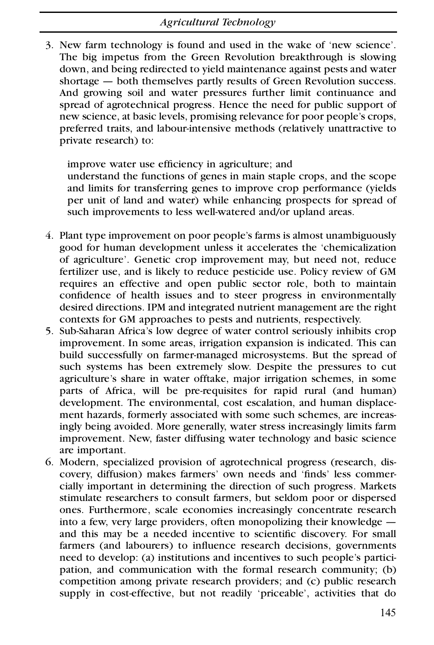3. New farm technology is found and used in the wake of 'new science'. The big impetus from the Green Revolution breakthrough is slowing down, and being redirected to yield maintenance against pests and water shortage — both themselves partly results of Green Revolution success. And growing soil and water pressures further limit continuance and spread of agrotechnical progress. Hence the need for public support of new science, at basic levels, promising relevance for poor people's crops, preferred traits, and labour-intensive methods (relatively unattractive to private research) to:

improve water use efficiency in agriculture; and understand the functions of genes in main staple crops, and the scope and limits for transferring genes to improve crop performance (yields per unit of land and water) while enhancing prospects for spread of such improvements to less well-watered and/or upland areas.

- 4. Plant type improvement on poor people's farms is almost unambiguously good for human development unless it accelerates the 'chemicalization of agriculture'. Genetic crop improvement may, but need not, reduce fertilizer use, and is likely to reduce pesticide use. Policy review of GM requires an effective and open public sector role, both to maintain confidence of health issues and to steer progress in environmentally desired directions. IPM and integrated nutrient management are the right contexts for GM approaches to pests and nutrients, respectively.
- 5. Sub-Saharan Africa's low degree of water control seriously inhibits crop improvement. In some areas, irrigation expansion is indicated. This can build successfully on farmer-managed microsystems. But the spread of such systems has been extremely slow. Despite the pressures to cut agriculture's share in water offtake, major irrigation schemes, in some parts of Africa, will be pre-requisites for rapid rural (and human) development. The environmental, cost escalation, and human displace ment hazards, formerly associated with some such schemes, are increasingly being avoided. More generally, water stress increasingly limits farm improvement. New, faster diffusing water technology and basic science are important.
- 6. Modern, specialized provision of agrotechnical progress (research, dis covery, diffusion) makes farmers' own needs and 'finds' less commercially important in determining the direction of such progress. Markets stimulate researchers to consult farmers, but seldom poor or dispersed ones. Furthermore, scale economies increasingly concentrate research into a few, very large providers, often monopolizing their knowledge and this may be a needed incentive to scientific discovery. For small farmers (and labourers) to influence research decisions, governments need to develop: (a) institutions and incentives to such people's partici pation, and communication with the formal research community; (b) competition among private research providers; and (c) public research supply in cost-effective, but not readily 'priceable', activities that do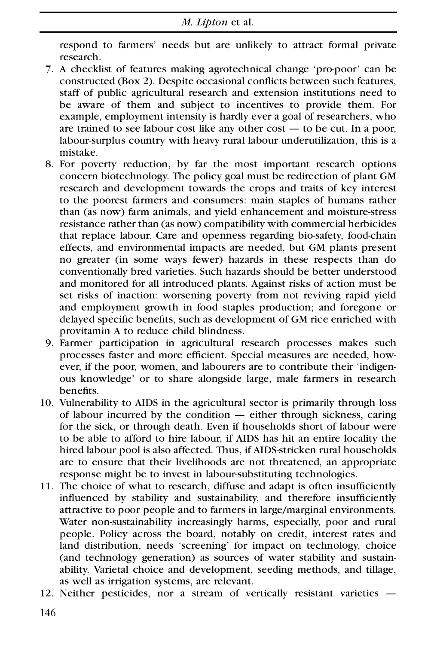respond to farmers' needs but are unlikely to attract formal private research.

- 7. A checklist of features making agrotechnical change 'pro-poor' can be constructed (Box 2). Despite occasional conflicts between such features, staff of public agricultural research and extension institutions need to be aware of them and subject to incentives to provide them. For example, employment intensity is hardly ever a goal of researchers, who are trained to see labour cost like any other cost — to be cut. In a poor, labour-surplus country with heavy rural labour underutilization, this is a mistake.
- 8. For poverty reduction, by far the most important research options concern biotechnology. The policy goal must be redirection of plant GM research and development towards the crops and traits of key interest to the poorest farmers and consumers: main staples of humans rather than (as now) farm animals, and yield enhancement and moisture-stress resistance rather than (as now) compatibility with commercial herbicides that replace labour. Care and openness regarding bio-safety, food-chain effects, and environmental impacts are needed, but GM plants present no greater (in some ways fewer) hazards in these respects than do conventionally bred varieties. Such hazards should be better understood and monitored for all introduced plants. Against risks of action must be set risks of inaction: worsening poverty from not reviving rapid yield and employment growth in food staples production; and foregone or delayed specific benefits, such as development of GM rice enriched with provitamin A to reduce child blindness.
- 9. Farmer participation in agricultural research processes makes such processes faster and more efficient. Special measures are needed, however, if the poor, women, and labourers are to contribute their 'indigen ous knowledge' or to share alongside large, male farmers in research benefits.
- 10. Vulnerability to AIDS in the agricultural sector is primarily through loss of labour incurred by the condition — either through sickness, caring for the sick, or through death. Even if households short of labour were to be able to afford to hire labour, if AIDS has hit an entire locality the hired labour pool is also affected. Thus, if AIDS-stricken rural households are to ensure that their livelihoods are not threatened, an appropriate response might be to invest in labour-substituting technologies.
- 11. The choice of what to research, diffuse and adapt is often insufficiently influenced by stability and sustainability, and therefore insufficiently attractive to poor people and to farmers in large/marginal environments. Water non-sustainability increasingly harms, especially, poor and rural people. Policy across the board, notably on credit, interest rates and land distribution, needs 'screening' for impact on technology, choice (and technology generation) as sources of water stability and sustain ability. Varietal choice and development, seeding methods, and tillage, as well as irrigation systems, are relevant.
- 12. Neither pesticides, nor a stream of vertically resistant varieties —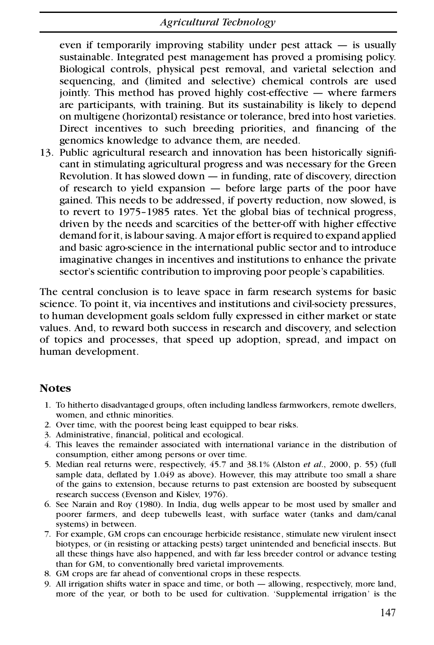even if temporarily improving stability under pest attack — is usually sustainable. Integrated pest management has proved a promising policy. Biological controls, physical pest removal, and varietal selection and sequencing, and (limited and selective) chemical controls are used jointly. This method has proved highly cost-effective — where farmers are participants, with training. But its sustainability is likely to depend on multigene (horizontal) resistance or tolerance, bred into host varieties. Direct incentives to such breeding priorities, and financing of the genomics knowledge to advance them, are needed.

13. Public agricultural research and innovation has been historically signi cant in stimulating agricultural progress and was necessary for the Green Revolution. It has slowed down — in funding, rate of discovery, direction of research to yield expansion — before large parts of the poor have gained. This needs to be addressed, if poverty reduction, now slowed, is to revert to 1975–1985 rates. Yet the global bias of technical progress, driven by the needs and scarcities of the better-off with higher effective demand for it, is labour saving. A major effort is required to expand applied and basic agro-science in the international public sector and to introduce imaginative changes in incentives and institutions to enhance the private sector's scientific contribution to improving poor people's capabilities.

The central conclusion is to leave space in farm research systems for basic science. To point it, via incentives and institutions and civil-society pressures, to human development goals seldom fully expressed in either market or state values. And, to reward both success in research and discovery, and selection of topics and processes, that speed up adoption, spread, and impact on human development.

# **Notes**

- 1. To hitherto disadvantaged groups, often including landless farmworkers, remote dwellers, women, and ethnic minorities.
- 2. Over time, with the poorest being least equipped to bear risks.
- 3. Administrative, financial, political and ecological.
- 4. This leaves the remainder associated with international variance in the distribution of consumption, either among persons or over time.
- 5. Median real returns were, respectively, 45.7 and 38.1% (Alston *et al*., 2000, p. 55) (full sample data, deflated by  $1.049$  as above). However, this may attribute too small a share of the gains to extension, because returns to past extension are boosted by subsequent research success (Evenson and Kislev, 1976).
- 6. See Narain and Roy (1980). In India, dug wells appear to be most used by smaller and poorer farmers, and deep tubewells least, with surface water (tanks and dam/canal systems) in between.
- 7. For example, GM crops can encourage herbicide resistance, stimulate new virulent insect biotypes, or (in resisting or attacking pests) target unintended and beneficial insects. But all these things have also happened, and with far less breeder control or advance testing than for GM, to conventionally bred varietal improvements.
- 8. GM crops are far ahead of conventional crops in these respects.
- 9. All irrigation shifts water in space and time, or both allowing, respectively, more land, more of the year, or both to be used for cultivation. 'Supplemental irrigation' is the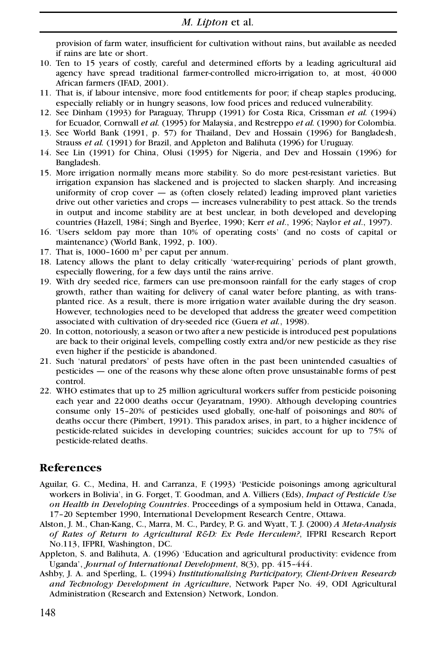provision of farm water, insufficient for cultivation without rains, but available as needed if rains are late or short.

- 10. Ten to 15 years of costly, careful and determined efforts by a leading agricultural aid agency have spread traditional farmer-controlled micro-irrigation to, at most, 40 000 African farmers (IFAD, 2001).
- 11. That is, if labour intensive, more food entitlements for poor; if cheap staples producing, especially reliably or in hungry seasons, low food prices and reduced vulnerability.
- 12. See Dinham (1993) for Paraguay, Thrupp (1991) for Costa Rica, Crissman *et al.* (1994) for Ecuador, Cornwall *et al.* (1995) for Malaysia, and Restreppo *et al.* (1990) for Colombia.
- 13. See World Bank (1991, p. 57) for Thailand, Dev and Hossain (1996) for Bangladesh, Strauss *et al.* (1991) for Brazil, and Appleton and Balihuta (1996) for Uruguay.
- 14. See Lin (1991) for China, Olusi (1995) for Nigeria, and Dev and Hossain (1996) for Bangladesh.
- 15. More irrigation normally means more stability. So do more pest-resistant varieties. But irrigation expansion has slackened and is projected to slacken sharply. And increasing uniformity of crop cover  $-$  as (often closely related) leading improved plant varieties drive out other varieties and crops — increases vulnerability to pest attack. So the trends in output and income stability are at best unclear, in both developed and developing countries (Hazell, 1984; Singh and Byerlee, 1990; Kerr *et al*., 1996; Naylor *et al*., 1997).
- 16. 'Users seldom pay more than 10% of operating costs' (and no costs of capital or maintenance) (World Bank, 1992, p. 100).
- 17. That is,  $1000-1600$  m<sup>3</sup> per caput per annum.
- 18. Latency allows the plant to delay critically 'water-requiring' periods of plant growth, especially flowering, for a few days until the rains arrive.
- 19. With dry seeded rice, farmers can use pre-monsoon rainfall for the early stages of crop growth, rather than waiting for delivery of canal water before planting, as with trans planted rice. As a result, there is more irrigation water available during the dry season. However, technologies need to be developed that address the greater weed competition associated with cultivation of dry-seeded rice (Guera *et al.*, 1998).
- 20. In cotton, notoriously, a season or two after a new pesticide is introduced pest populations are back to their original levels, compelling costly extra and/or new pesticide as they rise even higher if the pesticide is abandoned.
- 21. Such 'natural predators' of pests have often in the past been unintended casualties of pesticides — one of the reasons why these alone often prove unsustainable forms of pest control.
- 22. WHO estimates that up to 25 million agricultural workers suffer from pesticide poisoning each year and 22 000 deaths occur (Jeyaratnam, 1990). Although developing countries consume only 15–20% of pesticides used globally, one-half of poisonings and 80% of deaths occur there (Pimbert, 1991). This paradox arises, in part, to a higher incidence of pesticide-related suicides in developing countries; suicides account for up to 75% of pesticide-related deaths.

#### **References**

- Aguilar, G. C., Medina, H. and Carranza, F. (1993) 'Pesticide poisonings among agricultural workers in Bolivia', in G. Forget, T. Goodman, and A. Villiers (Eds), *Impact of Pesticide Use on Health in Developing Countries*. Proceedings of a symposium held in Ottawa, Canada, 17–20 September 1990, International Development Research Centre, Ottawa.
- Alston, J. M., Chan-Kang, C., Marra, M. C., Pardey, P. G. and Wyatt, T. J. (2000) *A Meta-Analysis of Rates of Return to Agricultural R&D: Ex Pede Herculem?*, IFPRI Research Report No.113, IFPRI, Washington, DC.
- Appleton, S. and Balihuta, A. (1996) 'Education and agricultural productivity: evidence from Uganda', *Journal of International Development*, 8(3), pp. 415–444.
- Ashby, J. A. and Sperling, L. (1994) *Institutionalising Participatory, Client-Driven Research and Technology Development in Agriculture*, Network Paper No. 49, ODI Agricultural Administration (Research and Extension) Network, London.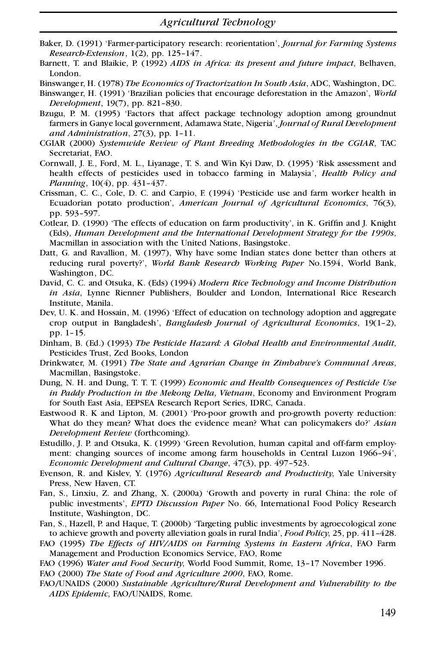- Baker, D. (1991) 'Farmer-participatory research: reorientation', *Journal for Farming Systems Research-Extension*, 1(2), pp. 125–147.
- Barnett, T. and Blaikie, P. (1992) *AIDS in Africa: its present and future impact*, Belhaven, London.

Binswanger, H. (1978) *The Economics of Tractorization In South Asia*, ADC, Washington, DC.

- Binswanger, H. (1991) 'Brazilian policies that encourage deforestation in the Amazon', *World Development*, 19(7), pp. 821–830.
- Bzugu, P. M. (1995) 'Factors that affect package technology adoption among groundnut farmers in Ganye local government, Adamawa State, Nigeria', *Journal of Rural Development and Administration*, 27(3), pp. 1–11.
- CGIAR (2000) *Systemwide Review of Plant Breeding Methodologies in the CGIAR*, TAC Secretariat, FAO.
- Cornwall, J. E., Ford, M. L., Liyanage, T. S. and Win Kyi Daw, D. (1995) 'Risk assessment and health effects of pesticides used in tobacco farming in Malaysia', *Health Policy and Planning*, 10(4), pp. 431–437.
- Crissman, C. C., Cole, D. C. and Carpio, F. (1994) 'Pesticide use and farm worker health in Ecuadorian potato production', *American Journal of Agricultural Economics*, 76(3), pp. 593–597.
- Cotlear, D. (1990) 'The effects of education on farm productivity', in K. Griffin and J. Knight (Eds), *Human Development and the International Development Strategy for the 1990s*, Macmillan in association with the United Nations, Basingstoke.
- Datt, G. and Ravallion, M. (1997), Why have some Indian states done better than others at reducing rural poverty?', *World Bank Research Working Paper* No.1594, World Bank, Washington, DC.
- David, C. C. and Otsuka, K. (Eds) (1994) *Modern Rice Technology and Income Distribution in Asia*, Lynne Rienner Publishers, Boulder and London, International Rice Research Institute, Manila.
- Dev, U. K. and Hossain, M. (1996) 'Effect of education on technology adoption and aggregate crop output in Bangladesh', *Bangladesh Journal of Agricultural Economics*, 19(1–2), pp. 1–15.
- Dinham, B. (Ed.) (1993) *The Pesticide Hazard: A Global Health and Environmental Audit*, Pesticides Trust, Zed Books, London
- Drinkwater, M. (1991) *The State and Agrarian Change in Zimbabwe's Communal Areas*, Macmillan, Basingstoke.
- Dung, N. H. and Dung, T. T. T. (1999) *Economic and Health Consequences of Pesticide Use in Paddy Production in the Mekong Delta, Vietnam*, Economy and Environment Program for South East Asia, EEPSEA Research Report Series, IDRC, Canada.
- Eastwood R. K and Lipton, M. (2001) 'Pro-poor growth and pro-growth poverty reduction: What do they mean? What does the evidence mean? What can policymakers do?' *Asian Development Review* (forthcoming).
- Estudillo, J. P. and Otsuka, K. (1999) 'Green Revolution, human capital and off-farm employ ment: changing sources of income among farm households in Central Luzon 1966–94', *Economic Development and Cultural Change*, 47(3), pp. 497–523.
- Evenson, R. and Kislev, Y. (1976) *Agricultural Research and Productivity*, Yale University Press, New Haven, CT.
- Fan, S., Linxiu, Z. and Zhang, X. (2000a) 'Growth and poverty in rural China: the role of public investments', *EPTD Discussion Paper* No. 66, International Food Policy Research Institute, Washington, DC.
- Fan, S., Hazell, P. and Haque, T. (2000b) 'Targeting public investments by agroecological zone to achieve growth and poverty alleviation goals in rural India', *Food Policy*, 25, pp. 411–428.
- FAO (1995) *The Effects of HIV/AIDS on Farming Systems in Eastern Africa*, FAO Farm Management and Production Economics Service, FAO, Rome
- FAO (1996) *Water and Food Security*, World Food Summit, Rome, 13–17 November 1996.

FAO (2000) *The State of Food and Agriculture 2000*, FAO, Rome.

FAO/UNAIDS (2000) *Sustainable Agriculture/Rural Development and Vulnerability to the AIDS Epidemic*, FAO/UNAIDS, Rome.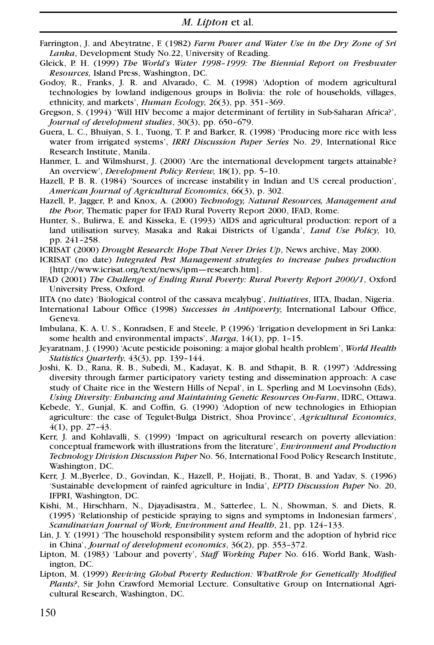- Farrington, J. and Abeytratne, F. (1982) *Farm Power and Water Use in the Dry Zone of Sri Lanka*, Development Study No.22, University of Reading.
- Gleick, P. H. (1999) *The World's Water 1998–1999: The Biennial Report on Freshwater Resources*, Island Press, Washington, DC.
- Godoy, R., Franks, J. R. and Alvarado, C. M. (1998) 'Adoption of modern agricultural technologies by lowland indigenous groups in Bolivia: the role of households, villages, ethnicity, and markets', *Human Ecology*, 26(3), pp. 351–369.
- Gregson, S. (1994) 'Will HIV become a major determinant of fertility in Sub-Saharan Africa?', *Journal of development studies*, 30(3), pp. 650–679.
- Guera, L. C., Bhuiyan, S. I., Tuong, T. P. and Barker, R. (1998) 'Producing more rice with less water from irrigated systems', *IRRI Discussion Paper Series* No. 29, International Rice Research Institute, Manila.
- Hanmer, L. and Wilmshurst, J. (2000) 'Are the international development targets attainable? An overview', *Development Policy Review*, 18(1), pp. 5–10.
- Hazell, P. B. R. (1984) 'Sources of increase instability in Indian and US cereal production', *American Journal of Agricultural Economics*, 66(3), p. 302.
- Hazell, P., Jagger, P. and Knox, A. (2000) *Technology, Natural Resources, Management and the Poor*, Thematic paper for IFAD Rural Poverty Report 2000, IFAD, Rome.
- Hunter, S., Bulirwa, E. and Kisseka, E. (1993) 'AIDS and agricultural production: report of a land utilisation survey, Masaka and Rakai Districts of Uganda', *Land Use Policy*, 10, pp. 241–258.
- ICRISAT (2000) *Drought Research: Hope That Never Dries Up*, News archive, May 2000.
- ICRISAT (no date) *Integrated Pest Management strategies to increase pulses production* [http://www.icrisat.org/text/news/ipm—research.htm].
- IFAD (2001) *The Challenge of Ending Rural Poverty: Rural Poverty Report 2000/1*, Oxford University Press, Oxford.
- IITA (no date) 'Biological control of the cassava mealybug', *Initiatives*, IITA, Ibadan, Nigeria.
- International Labour Office (1998) *Successes in Antipoverty*, International Labour Office, Geneva.
- Imbulana, K. A. U. S., Konradsen, F. and Steele, P. (1996) 'Irrigation development in Sri Lanka: some health and environmental impacts', *Marga*, 14(1), pp. 1–15.
- Jeyaratnam, J. (1990) 'Acute pesticide poisoning: a major global health problem', *World Health Statistics Quarterly*, 43(3), pp. 139–144.
- Joshi, K. D., Rana, R. B., Subedi, M., Kadayat, K. B. and Sthapit, B. R. (1997) 'Addressing diversity through farmer participatory variety testing and dissemination approach: A case study of Chaite rice in the Western Hills of Nepal', in L. Sperling and M Loevinsohn (Eds), *Using Diversity: Enhancing and Maintaining Genetic Resources On-Farm*, IDRC, Ottawa.
- Kebede, Y., Gunjal, K. and Coffin, G. (1990) 'Adoption of new technologies in Ethiopian agriculture: the case of Tegulet-Bulga District, Shoa Province', *Agricultural Economics*, 4(1), pp. 27–43.
- Kerr, J. and Kohlavalli, S. (1999) 'Impact on agricultural research on poverty alleviation: conceptual framework with illustrations from the literature', *Environment and Production Technology Division Discussion Paper* No. 56, International Food Policy Research Institute, Washington, DC.
- Kerr, J. M.,Byerlee, D., Govindan, K., Hazell, P., Hojjati, B., Thorat, B. and Yadav, S. (1996) 'Sustainable development of rainfed agriculture in India', *EPTD Discussion Paper* No. 20, IFPRI, Washington, DC.
- Kishi, M., Hirschharn, N., Djayadisastra, M., Satterlee, L. N., Showman, S. and Diets, R. (1995) 'Relationship of pesticide spraying to signs and symptoms in Indonesian farmers', *Scandinavian Journal of Work, Environment and Health*, 21, pp. 124–133.
- Lin, J. Y. (1991) 'The household responsibility system reform and the adoption of hybrid rice in China', *Journal of development economics*, 36(2), pp. 353–372.
- Lipton, M. (1983) 'Labour and poverty', *Staff Working Paper* No. 616. World Bank, Washington, DC.
- Lipton, M. (1999) *Reviving Global Poverty Reduction: WhatRrole for Genetically Modied Plants?*, Sir John Crawford Memorial Lecture. Consultative Group on International Agri cultural Research, Washington, DC.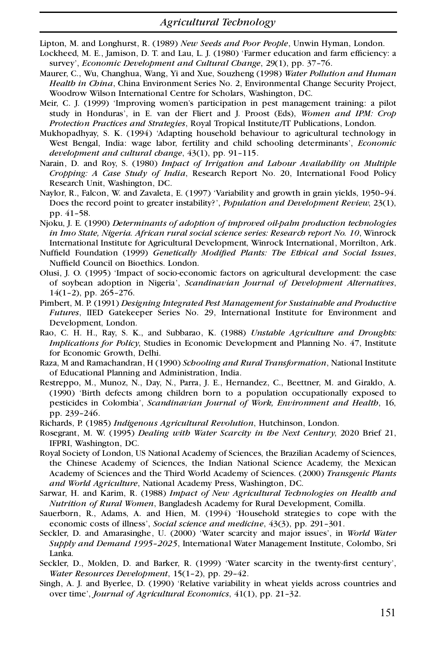Lipton, M. and Longhurst, R. (1989) *New Seeds and Poor People*, Unwin Hyman, London.

- Lockheed, M. E., Jamison, D. T. and Lau, L. J. (1980) 'Farmer education and farm efficiency: a survey', *Economic Development and Cultural Change*, 29(1), pp. 37–76.
- Maurer, C., Wu, Changhua, Wang, Yi and Xue, Souzheng (1998) *Water Pollution and Human Health in China*, China Environment Series No. 2, Environmental Change Security Project, Woodrow Wilson International Centre for Scholars, Washington, DC.
- Meir, C. J. (1999) 'Improving women's participation in pest management training: a pilot study in Honduras', in E. van der Fliert and J. Proost (Eds), *Women and IPM: Crop Protection Practices and Strategies*, Royal Tropical Institute/IT Publications, London.
- Mukhopadhyay, S. K. (1994) 'Adapting household behaviour to agricultural technology in West Bengal, India: wage labor, fertility and child schooling determinants', *Economic development and cultural change*, 43(1), pp. 91–115.
- Narain, D. and Roy, S. (1980) *Impact of Irrigation and Labour Availability on Multiple Cropping: A Case Study of India*, Research Report No. 20, International Food Policy Research Unit, Washington, DC.
- Naylor, R., Falcon, W. and Zavaleta, E. (1997) 'Variability and growth in grain yields, 1950–94. Does the record point to greater instability?', *Population and Development Review*, 23(1), pp. 41–58.
- Njoku, J. E. (1990) *Determinants of adoption of improved oil-palm production technologies in Imo State, Nigeria. African rural social science series: Research report No. 10*, Winrock International Institute for Agricultural Development, Winrock International, Morrilton, Ark.
- Nufeld Foundation (1999) *Genetically Modied Plants: The Ethical and Social Issues*, Nuffield Council on Bioethics. London.
- Olusi, J. O. (1995) 'Impact of socio-economic factors on agricultural development: the case of soybean adoption in Nigeria', *Scandinavian Journal of Development Alternatives*, 14(1–2), pp. 265–276.
- Pimbert, M. P. (1991) *Designing Integrated Pest Management for Sustainable and Productive Futures*, IIED Gatekeeper Series No. 29, International Institute for Environment and Development, London.
- Rao, C. H. H., Ray, S. K., and Subbarao, K. (1988) *Unstable Agriculture and Droughts: Implications for Policy*, Studies in Economic Development and Planning No. 47, Institute for Economic Growth, Delhi.
- Raza, M and Ramachandran, H (1990) *Schooling and Rural Transformation*, National Institute of Educational Planning and Administration, India.
- Restreppo, M., Munoz, N., Day, N., Parra, J. E., Hernandez, C., Beettner, M. and Giraldo, A. (1990) 'Birth defects among children born to a population occupationally exposed to pesticides in Colombia', *Scandinavian Journal of Work, Environment and Health*, 16, pp. 239–246.
- Richards, P. (1985) *Indigenous Agricultural Revolution*, Hutchinson, London.
- Rosegrant, M. W. (1995) *Dealing with Water Scarcity in the Next Century*, 2020 Brief 21, IFPRI, Washington, DC.
- Royal Society of London, US National Academy of Sciences, the Brazilian Academy of Sciences, the Chinese Academy of Sciences, the Indian National Science Academy, the Mexican Academy of Sciences and the Third World Academy of Sciences. (2000) *Transgenic Plants and World Agriculture*, National Academy Press, Washington, DC.
- Sarwar, H. and Karim, R. (1988) *Impact of New Agricultural Technologies on Health and Nutrition of Rural Women*, Bangladesh Academy for Rural Development, Comilla.
- Sauerborn, R., Adams, A. and Hien, M. (1994) 'Household strategies to cope with the economic costs of illness', *Social science and medicine*, 43(3), pp. 291–301.
- Seckler, D. and Amarasinghe, U. (2000) 'Water scarcity and major issues', in *World Water Supply and Demand 1995–2025*, International Water Management Institute, Colombo, Sri Lanka.
- Seckler, D., Molden, D. and Barker, R. (1999) 'Water scarcity in the twenty-first century', *Water Resources Development*, 15(1–2), pp. 29–42.
- Singh, A. J. and Byerlee, D. (1990) 'Relative variability in wheat yields across countries and over time', *Journal of Agricultural Economics*, 41(1), pp. 21–32.